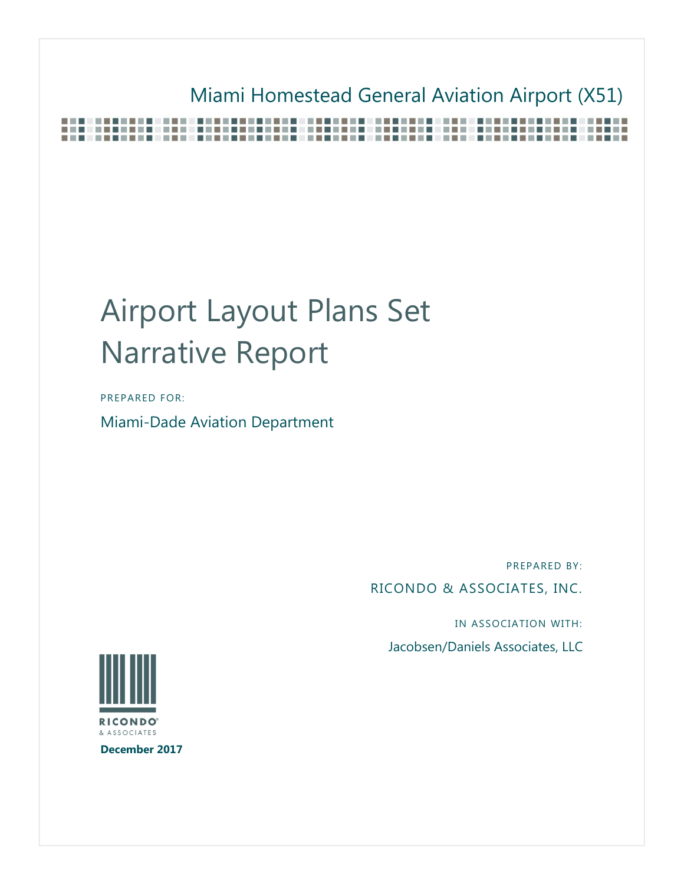## Miami Homestead General Aviation Airport (X51)

## Airport Layout Plans Set Narrative Report

PREPARED FOR:

Miami-Dade Aviation Department

PREPARED BY:

RICONDO & ASSOCIATES, INC.

IN ASSOCIATION WITH:

Jacobsen/Daniels Associates, LLC



**December 2017**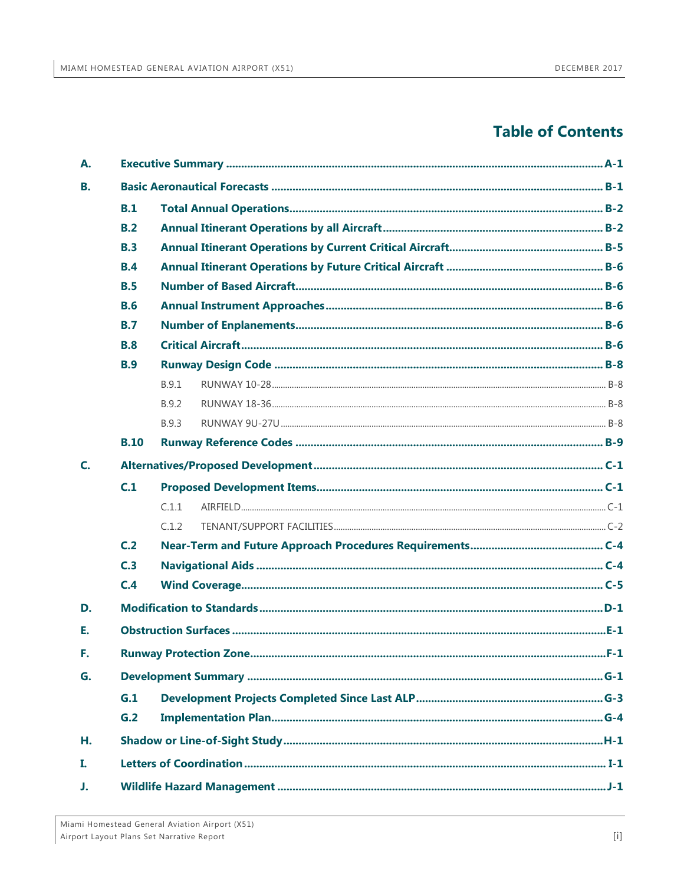### **Table of Contents**

| А. |             |       |  |  |  |  |
|----|-------------|-------|--|--|--|--|
| В. |             |       |  |  |  |  |
|    | B.1         |       |  |  |  |  |
|    | B.2         |       |  |  |  |  |
|    | <b>B.3</b>  |       |  |  |  |  |
|    | <b>B.4</b>  |       |  |  |  |  |
|    | B.5         |       |  |  |  |  |
|    | <b>B.6</b>  |       |  |  |  |  |
|    | <b>B.7</b>  |       |  |  |  |  |
|    | <b>B.8</b>  |       |  |  |  |  |
|    | <b>B.9</b>  |       |  |  |  |  |
|    |             | B.9.1 |  |  |  |  |
|    |             | B.9.2 |  |  |  |  |
|    |             | B.9.3 |  |  |  |  |
|    | <b>B.10</b> |       |  |  |  |  |
| C. |             |       |  |  |  |  |
|    | C.1         |       |  |  |  |  |
|    |             | C.1.1 |  |  |  |  |
|    |             | C.1.2 |  |  |  |  |
|    | C.2         |       |  |  |  |  |
|    | C.3         |       |  |  |  |  |
|    | C.4         |       |  |  |  |  |
| D. |             |       |  |  |  |  |
| Е. |             |       |  |  |  |  |
| F. |             |       |  |  |  |  |
| G. |             |       |  |  |  |  |
|    | G.1         |       |  |  |  |  |
|    | G.2         |       |  |  |  |  |
| Η. |             |       |  |  |  |  |
| L  |             |       |  |  |  |  |
| J. |             |       |  |  |  |  |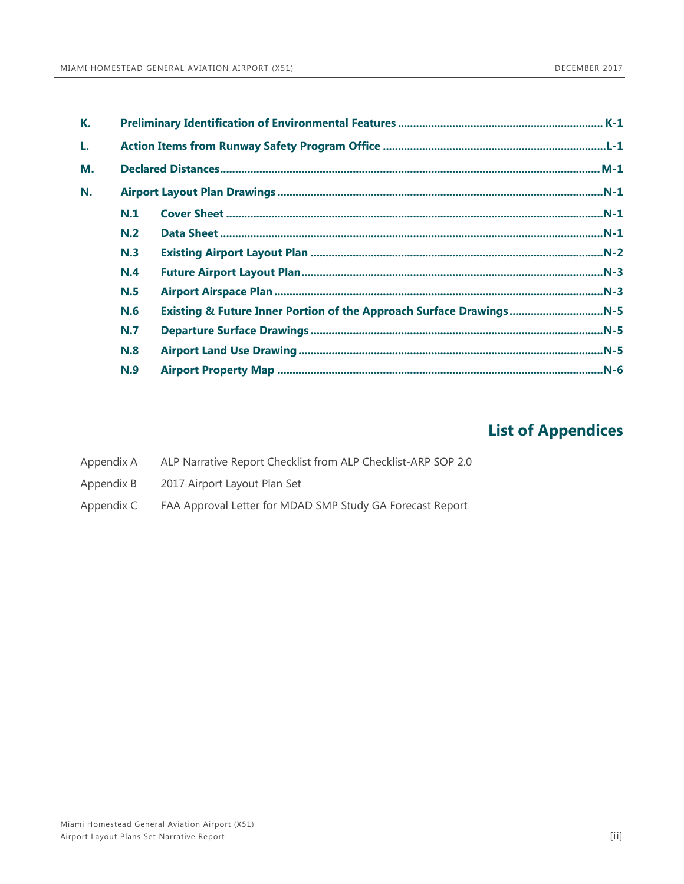| К. |     |  |  |  |
|----|-----|--|--|--|
| L. |     |  |  |  |
| М. |     |  |  |  |
| N. |     |  |  |  |
|    | N.1 |  |  |  |
|    | N.2 |  |  |  |
|    | N.3 |  |  |  |
|    | N.4 |  |  |  |
|    | N.5 |  |  |  |
|    | N.6 |  |  |  |
|    | N.7 |  |  |  |
|    | N.8 |  |  |  |
|    | N.9 |  |  |  |

### **List of Appendices**

- Appendix A [ALP Narrative Report Checklist from ALP Checklist-ARP SOP 2.0](#page-54-0)
- Appendix B [2017 Airport Layout Plan Set](#page-55-0)
- Appendix C [FAA Approval Letter for MDAD SMP Study GA Forecast Report](#page-56-0)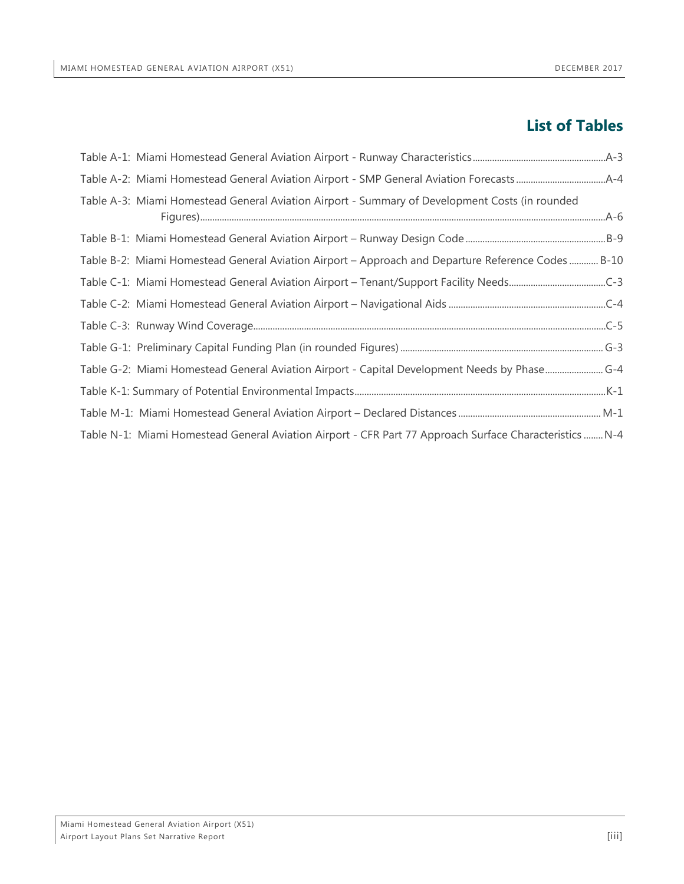### **List of Tables**

| Table A-3: Miami Homestead General Aviation Airport - Summary of Development Costs (in rounded          |  |
|---------------------------------------------------------------------------------------------------------|--|
|                                                                                                         |  |
| Table B-2: Miami Homestead General Aviation Airport – Approach and Departure Reference Codes  B-10      |  |
|                                                                                                         |  |
|                                                                                                         |  |
|                                                                                                         |  |
|                                                                                                         |  |
| Table G-2: Miami Homestead General Aviation Airport - Capital Development Needs by Phase G-4            |  |
|                                                                                                         |  |
|                                                                                                         |  |
| Table N-1: Miami Homestead General Aviation Airport - CFR Part 77 Approach Surface Characteristics  N-4 |  |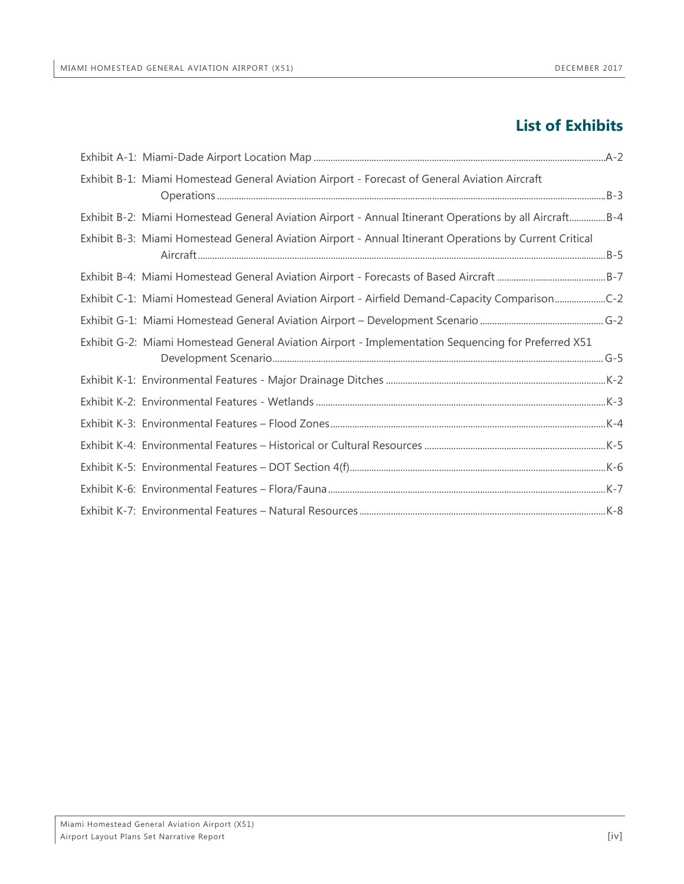### **List of Exhibits**

| Exhibit B-1: Miami Homestead General Aviation Airport - Forecast of General Aviation Aircraft           |  |
|---------------------------------------------------------------------------------------------------------|--|
| Exhibit B-2: Miami Homestead General Aviation Airport - Annual Itinerant Operations by all AircraftB-4  |  |
| Exhibit B-3: Miami Homestead General Aviation Airport - Annual Itinerant Operations by Current Critical |  |
|                                                                                                         |  |
| Exhibit C-1: Miami Homestead General Aviation Airport - Airfield Demand-Capacity ComparisonC-2          |  |
|                                                                                                         |  |
| Exhibit G-2: Miami Homestead General Aviation Airport - Implementation Sequencing for Preferred X51     |  |
|                                                                                                         |  |
|                                                                                                         |  |
|                                                                                                         |  |
|                                                                                                         |  |
|                                                                                                         |  |
|                                                                                                         |  |
|                                                                                                         |  |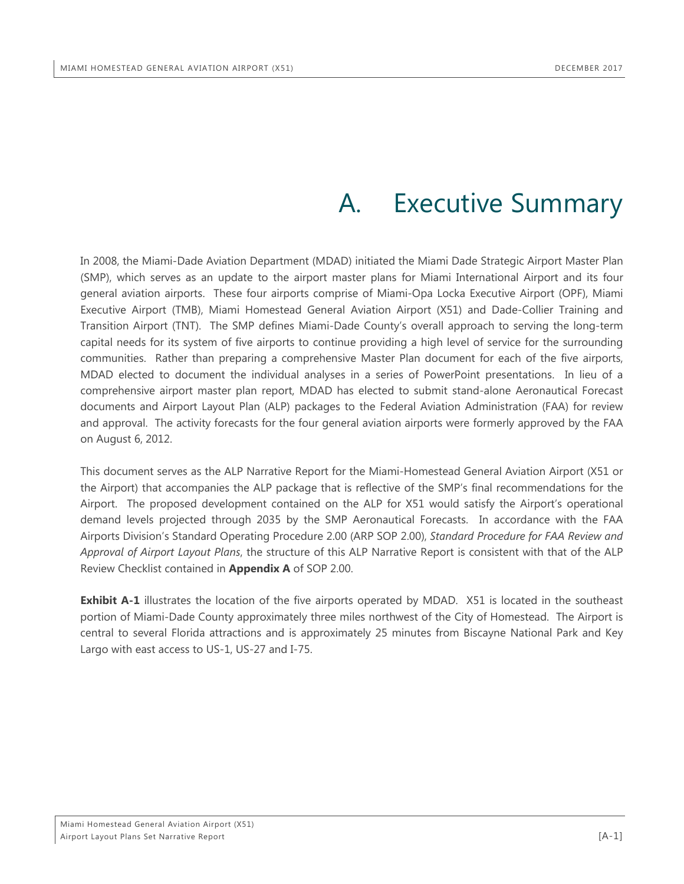## A. Executive Summary

<span id="page-5-0"></span>In 2008, the Miami-Dade Aviation Department (MDAD) initiated the Miami Dade Strategic Airport Master Plan (SMP), which serves as an update to the airport master plans for Miami International Airport and its four general aviation airports. These four airports comprise of Miami-Opa Locka Executive Airport (OPF), Miami Executive Airport (TMB), Miami Homestead General Aviation Airport (X51) and Dade-Collier Training and Transition Airport (TNT). The SMP defines Miami-Dade County's overall approach to serving the long-term capital needs for its system of five airports to continue providing a high level of service for the surrounding communities. Rather than preparing a comprehensive Master Plan document for each of the five airports, MDAD elected to document the individual analyses in a series of PowerPoint presentations. In lieu of a comprehensive airport master plan report, MDAD has elected to submit stand-alone Aeronautical Forecast documents and Airport Layout Plan (ALP) packages to the Federal Aviation Administration (FAA) for review and approval. The activity forecasts for the four general aviation airports were formerly approved by the FAA on August 6, 2012.

This document serves as the ALP Narrative Report for the Miami-Homestead General Aviation Airport (X51 or the Airport) that accompanies the ALP package that is reflective of the SMP's final recommendations for the Airport. The proposed development contained on the ALP for X51 would satisfy the Airport's operational demand levels projected through 2035 by the SMP Aeronautical Forecasts. In accordance with the FAA Airports Division's Standard Operating Procedure 2.00 (ARP SOP 2.00), *Standard Procedure for FAA Review and Approval of Airport Layout Plans*, the structure of this ALP Narrative Report is consistent with that of the ALP Review Checklist contained in **Appendix A** of SOP 2.00.

**Exhibit A-1** illustrates the location of the five airports operated by MDAD. X51 is located in the southeast portion of Miami-Dade County approximately three miles northwest of the City of Homestead. The Airport is central to several Florida attractions and is approximately 25 minutes from Biscayne National Park and Key Largo with east access to US-1, US-27 and I-75.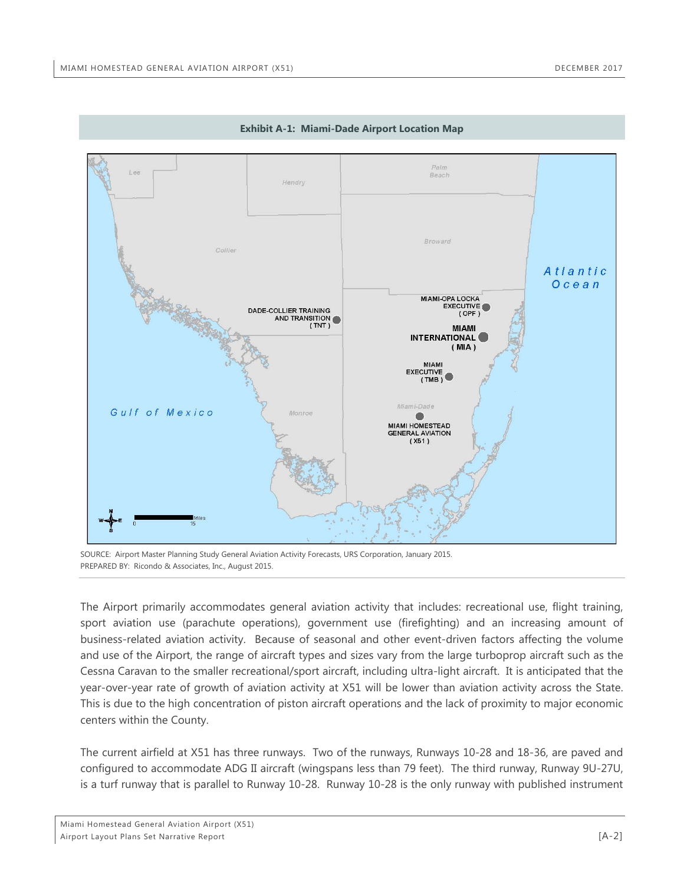<span id="page-6-0"></span>

**Exhibit A-1: Miami-Dade Airport Location Map**

SOURCE: Airport Master Planning Study General Aviation Activity Forecasts, URS Corporation, January 2015. PREPARED BY: Ricondo & Associates, Inc., August 2015.

The Airport primarily accommodates general aviation activity that includes: recreational use, flight training, sport aviation use (parachute operations), government use (firefighting) and an increasing amount of business-related aviation activity. Because of seasonal and other event-driven factors affecting the volume and use of the Airport, the range of aircraft types and sizes vary from the large turboprop aircraft such as the Cessna Caravan to the smaller recreational/sport aircraft, including ultra-light aircraft. It is anticipated that the year-over-year rate of growth of aviation activity at X51 will be lower than aviation activity across the State. This is due to the high concentration of piston aircraft operations and the lack of proximity to major economic centers within the County.

The current airfield at X51 has three runways. Two of the runways, Runways 10-28 and 18-36, are paved and configured to accommodate ADG II aircraft (wingspans less than 79 feet). The third runway, Runway 9U-27U, is a turf runway that is parallel to Runway 10-28. Runway 10-28 is the only runway with published instrument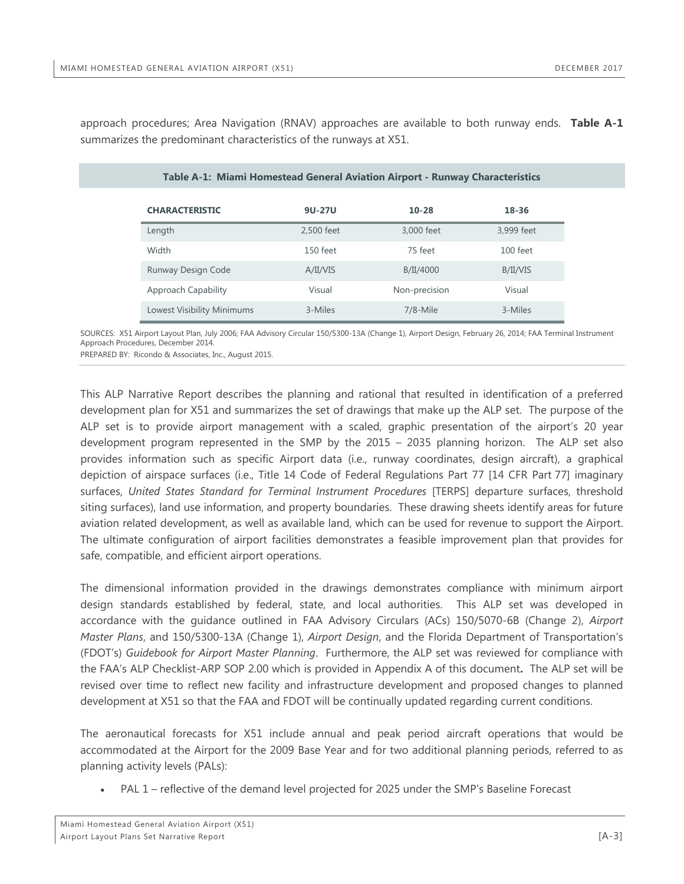<span id="page-7-0"></span>approach procedures; Area Navigation (RNAV) approaches are available to both runway ends. **Table A-1** summarizes the predominant characteristics of the runways at X51.

| Table A-1: Miami Homestead General Aviation Airport - Runway Characteristics |            |               |            |  |  |  |
|------------------------------------------------------------------------------|------------|---------------|------------|--|--|--|
| <b>CHARACTERISTIC</b>                                                        | 9U-27U     | $10-28$       | 18-36      |  |  |  |
| Length                                                                       | 2.500 feet | 3,000 feet    | 3.999 feet |  |  |  |
| Width                                                                        | 150 feet   | 75 feet       | $100$ feet |  |  |  |
| Runway Design Code                                                           | A/II/VIS   | B/II/4000     | B/II/VIS   |  |  |  |
| Approach Capability                                                          | Visual     | Non-precision | Visual     |  |  |  |
| Lowest Visibility Minimums                                                   | 3-Miles    | $7/8$ -Mile   | 3-Miles    |  |  |  |

SOURCES: X51 Airport Layout Plan, July 2006; FAA Advisory Circular 150/5300-13A (Change 1), Airport Design, February 26, 2014; FAA Terminal Instrument Approach Procedures, December 2014.

PREPARED BY: Ricondo & Associates, Inc., August 2015.

This ALP Narrative Report describes the planning and rational that resulted in identification of a preferred development plan for X51 and summarizes the set of drawings that make up the ALP set. The purpose of the ALP set is to provide airport management with a scaled, graphic presentation of the airport's 20 year development program represented in the SMP by the 2015 – 2035 planning horizon. The ALP set also provides information such as specific Airport data (i.e., runway coordinates, design aircraft), a graphical depiction of airspace surfaces (i.e., Title 14 Code of Federal Regulations Part 77 [14 CFR Part 77] imaginary surfaces, *United States Standard for Terminal Instrument Procedures* [TERPS] departure surfaces, threshold siting surfaces), land use information, and property boundaries. These drawing sheets identify areas for future aviation related development, as well as available land, which can be used for revenue to support the Airport. The ultimate configuration of airport facilities demonstrates a feasible improvement plan that provides for safe, compatible, and efficient airport operations.

The dimensional information provided in the drawings demonstrates compliance with minimum airport design standards established by federal, state, and local authorities. This ALP set was developed in accordance with the guidance outlined in FAA Advisory Circulars (ACs) 150/5070-6B (Change 2), *Airport Master Plans*, and 150/5300-13A (Change 1), *Airport Design*, and the Florida Department of Transportation's (FDOT's) *Guidebook for Airport Master Planning*. Furthermore, the ALP set was reviewed for compliance with the FAA's ALP Checklist-ARP SOP 2.00 which is provided in Appendix A of this document**.** The ALP set will be revised over time to reflect new facility and infrastructure development and proposed changes to planned development at X51 so that the FAA and FDOT will be continually updated regarding current conditions.

The aeronautical forecasts for X51 include annual and peak period aircraft operations that would be accommodated at the Airport for the 2009 Base Year and for two additional planning periods, referred to as planning activity levels (PALs):

• PAL 1 – reflective of the demand level projected for 2025 under the SMP's Baseline Forecast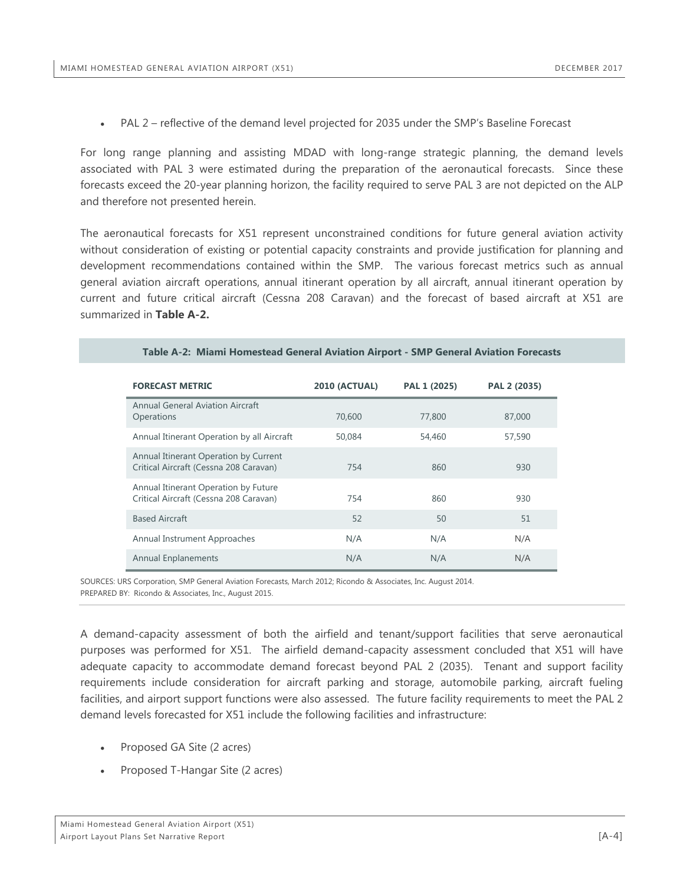• PAL 2 – reflective of the demand level projected for 2035 under the SMP's Baseline Forecast

For long range planning and assisting MDAD with long-range strategic planning, the demand levels associated with PAL 3 were estimated during the preparation of the aeronautical forecasts. Since these forecasts exceed the 20-year planning horizon, the facility required to serve PAL 3 are not depicted on the ALP and therefore not presented herein.

The aeronautical forecasts for X51 represent unconstrained conditions for future general aviation activity without consideration of existing or potential capacity constraints and provide justification for planning and development recommendations contained within the SMP. The various forecast metrics such as annual general aviation aircraft operations, annual itinerant operation by all aircraft, annual itinerant operation by current and future critical aircraft (Cessna 208 Caravan) and the forecast of based aircraft at X51 are summarized in **Table A-2.**

<span id="page-8-0"></span>

| <b>FORECAST METRIC</b>                                                          | <b>2010 (ACTUAL)</b> | PAL 1 (2025) | PAL 2 (2035) |
|---------------------------------------------------------------------------------|----------------------|--------------|--------------|
| Annual General Aviation Aircraft<br>Operations                                  | 70,600               | 77,800       | 87,000       |
| Annual Itinerant Operation by all Aircraft                                      | 50,084               | 54,460       | 57,590       |
| Annual Itinerant Operation by Current<br>Critical Aircraft (Cessna 208 Caravan) | 754                  | 860          | 930          |
| Annual Itinerant Operation by Future<br>Critical Aircraft (Cessna 208 Caravan)  | 754                  | 860          | 930          |
| <b>Based Aircraft</b>                                                           | 52                   | 50           | 51           |
| Annual Instrument Approaches                                                    | N/A                  | N/A          | N/A          |
| <b>Annual Enplanements</b>                                                      | N/A                  | N/A          | N/A          |

#### **Table A-2: Miami Homestead General Aviation Airport - SMP General Aviation Forecasts**

SOURCES: URS Corporation, SMP General Aviation Forecasts, March 2012; Ricondo & Associates, Inc. August 2014. PREPARED BY: Ricondo & Associates, Inc., August 2015.

A demand-capacity assessment of both the airfield and tenant/support facilities that serve aeronautical purposes was performed for X51. The airfield demand-capacity assessment concluded that X51 will have adequate capacity to accommodate demand forecast beyond PAL 2 (2035). Tenant and support facility requirements include consideration for aircraft parking and storage, automobile parking, aircraft fueling facilities, and airport support functions were also assessed. The future facility requirements to meet the PAL 2 demand levels forecasted for X51 include the following facilities and infrastructure:

- Proposed GA Site (2 acres)
- Proposed T-Hangar Site (2 acres)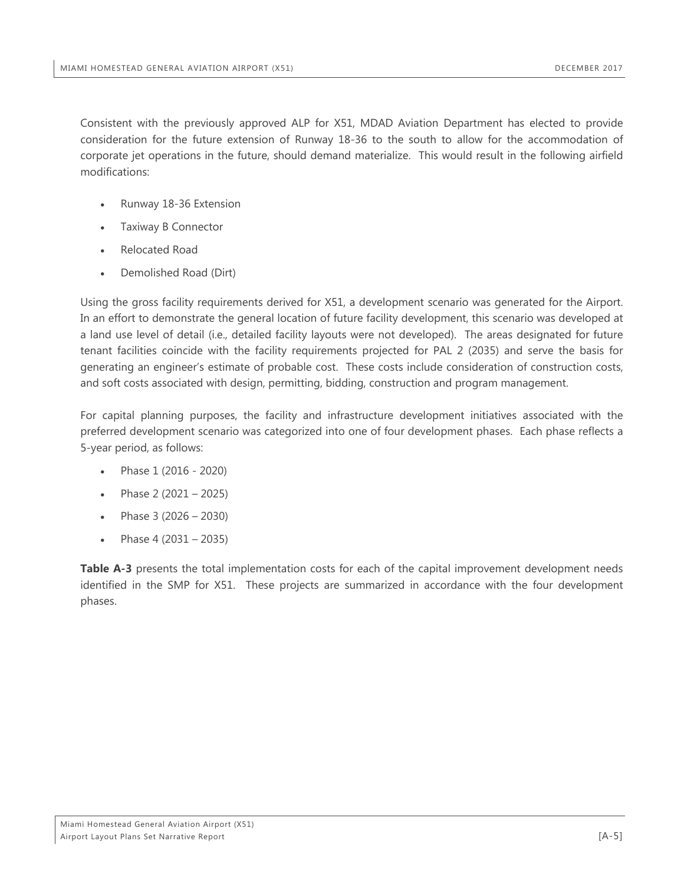Consistent with the previously approved ALP for X51, MDAD Aviation Department has elected to provide consideration for the future extension of Runway 18-36 to the south to allow for the accommodation of corporate jet operations in the future, should demand materialize. This would result in the following airfield modifications:

- Runway 18-36 Extension
- Taxiway B Connector
- Relocated Road
- Demolished Road (Dirt)

Using the gross facility requirements derived for X51, a development scenario was generated for the Airport. In an effort to demonstrate the general location of future facility development, this scenario was developed at a land use level of detail (i.e., detailed facility layouts were not developed). The areas designated for future tenant facilities coincide with the facility requirements projected for PAL 2 (2035) and serve the basis for generating an engineer's estimate of probable cost. These costs include consideration of construction costs, and soft costs associated with design, permitting, bidding, construction and program management.

For capital planning purposes, the facility and infrastructure development initiatives associated with the preferred development scenario was categorized into one of four development phases. Each phase reflects a 5-year period, as follows:

- Phase 1 (2016 2020)
- Phase  $2(2021 2025)$
- Phase 3  $(2026 2030)$
- Phase 4 (2031 2035)

**Table A-3** presents the total implementation costs for each of the capital improvement development needs identified in the SMP for X51. These projects are summarized in accordance with the four development phases.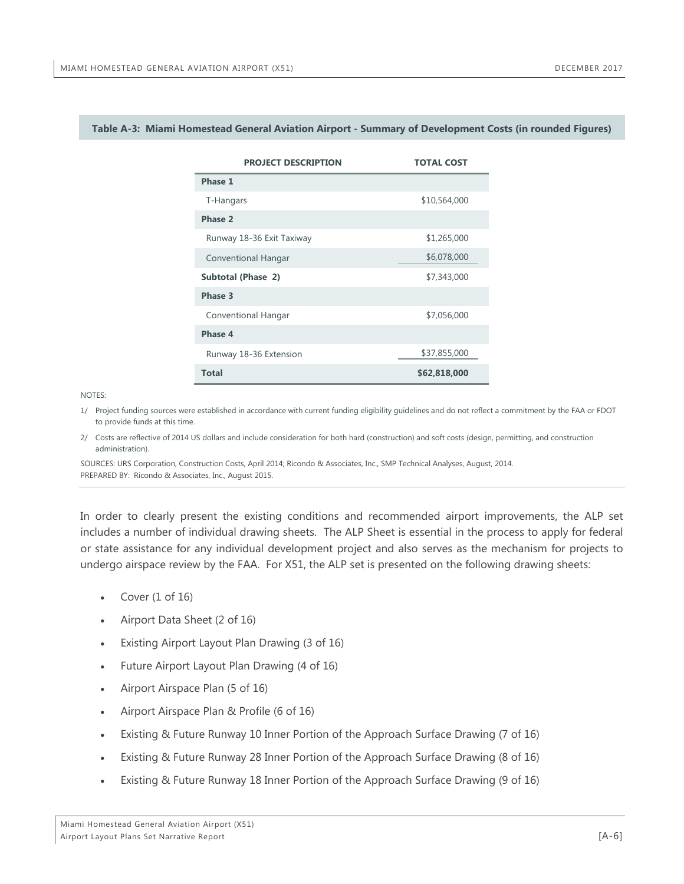| <b>PROJECT DESCRIPTION</b> | <b>TOTAL COST</b> |  |  |
|----------------------------|-------------------|--|--|
| Phase 1                    |                   |  |  |
| T-Hangars                  | \$10,564,000      |  |  |
| Phase 2                    |                   |  |  |
| Runway 18-36 Exit Taxiway  | \$1,265,000       |  |  |
| Conventional Hangar        | \$6,078,000       |  |  |
| Subtotal (Phase 2)         | \$7,343,000       |  |  |
| Phase 3                    |                   |  |  |
| <b>Conventional Hangar</b> | \$7,056,000       |  |  |
| Phase 4                    |                   |  |  |
| Runway 18-36 Extension     | \$37,855,000      |  |  |
| <b>Total</b>               | \$62,818,000      |  |  |

#### <span id="page-10-0"></span>**Table A-3: Miami Homestead General Aviation Airport - Summary of Development Costs (in rounded Figures)**

NOTES:

1/ Project funding sources were established in accordance with current funding eligibility guidelines and do not reflect a commitment by the FAA or FDOT to provide funds at this time.

2/ Costs are reflective of 2014 US dollars and include consideration for both hard (construction) and soft costs (design, permitting, and construction administration).

SOURCES: URS Corporation, Construction Costs, April 2014; Ricondo & Associates, Inc., SMP Technical Analyses, August, 2014. PREPARED BY: Ricondo & Associates, Inc., August 2015.

In order to clearly present the existing conditions and recommended airport improvements, the ALP set includes a number of individual drawing sheets. The ALP Sheet is essential in the process to apply for federal or state assistance for any individual development project and also serves as the mechanism for projects to undergo airspace review by the FAA. For X51, the ALP set is presented on the following drawing sheets:

- Cover  $(1 \text{ of } 16)$
- Airport Data Sheet (2 of 16)
- Existing Airport Layout Plan Drawing (3 of 16)
- Future Airport Layout Plan Drawing (4 of 16)
- Airport Airspace Plan (5 of 16)
- Airport Airspace Plan & Profile (6 of 16)
- Existing & Future Runway 10 Inner Portion of the Approach Surface Drawing (7 of 16)
- Existing & Future Runway 28 Inner Portion of the Approach Surface Drawing (8 of 16)
- Existing & Future Runway 18 Inner Portion of the Approach Surface Drawing (9 of 16)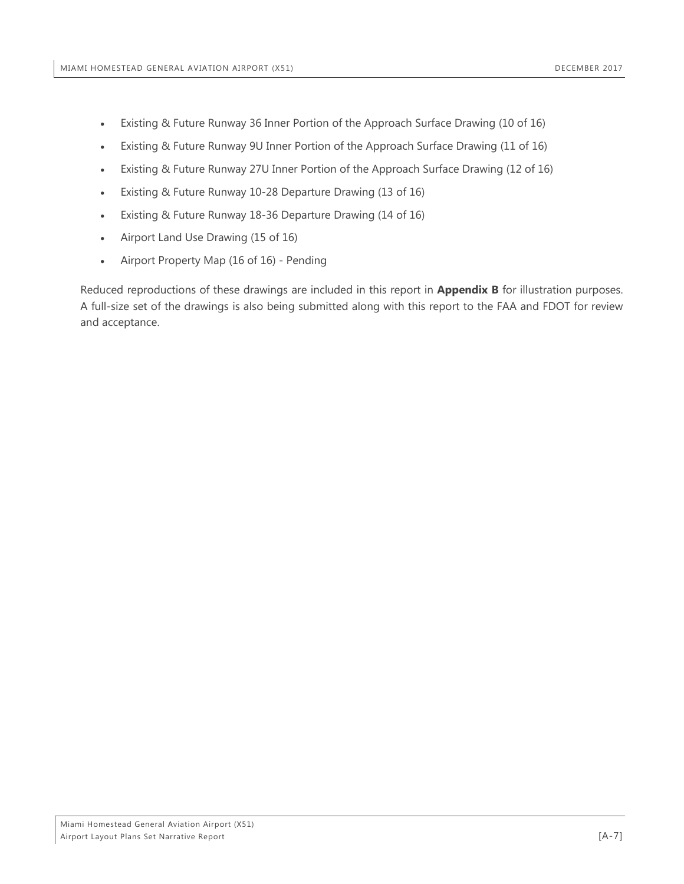- Existing & Future Runway 36 Inner Portion of the Approach Surface Drawing (10 of 16)
- Existing & Future Runway 9U Inner Portion of the Approach Surface Drawing (11 of 16)
- Existing & Future Runway 27U Inner Portion of the Approach Surface Drawing (12 of 16)
- Existing & Future Runway 10-28 Departure Drawing (13 of 16)
- Existing & Future Runway 18-36 Departure Drawing (14 of 16)
- Airport Land Use Drawing (15 of 16)
- Airport Property Map (16 of 16) Pending

Reduced reproductions of these drawings are included in this report in **Appendix B** for illustration purposes. A full-size set of the drawings is also being submitted along with this report to the FAA and FDOT for review and acceptance.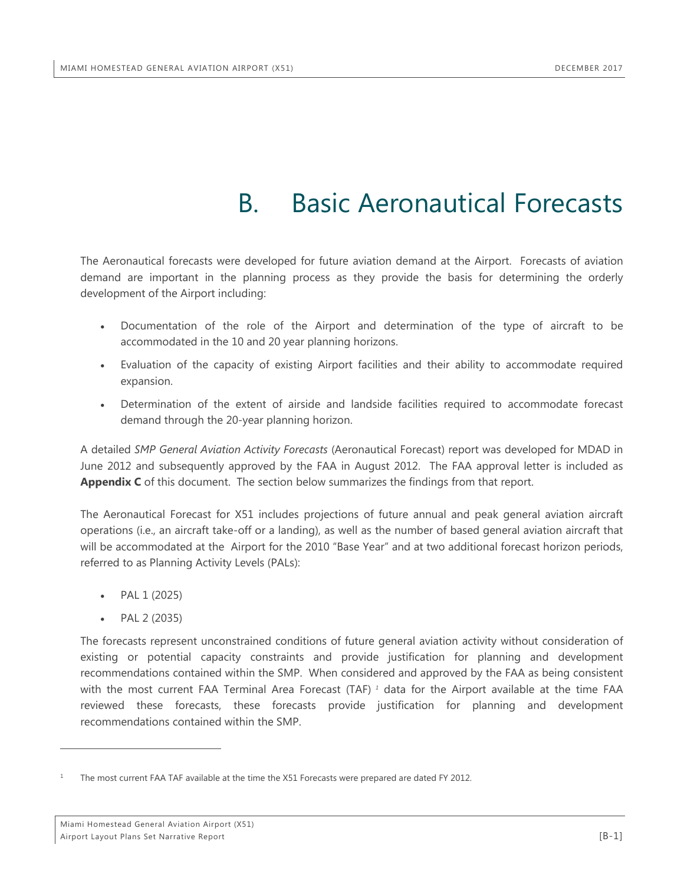## B. Basic Aeronautical Forecasts

<span id="page-12-0"></span>The Aeronautical forecasts were developed for future aviation demand at the Airport. Forecasts of aviation demand are important in the planning process as they provide the basis for determining the orderly development of the Airport including:

- Documentation of the role of the Airport and determination of the type of aircraft to be accommodated in the 10 and 20 year planning horizons.
- Evaluation of the capacity of existing Airport facilities and their ability to accommodate required expansion.
- Determination of the extent of airside and landside facilities required to accommodate forecast demand through the 20-year planning horizon.

A detailed *SMP General Aviation Activity Forecasts* (Aeronautical Forecast) report was developed for MDAD in June 2012 and subsequently approved by the FAA in August 2012. The FAA approval letter is included as **Appendix C** of this document. The section below summarizes the findings from that report.

The Aeronautical Forecast for X51 includes projections of future annual and peak general aviation aircraft operations (i.e., an aircraft take-off or a landing), as well as the number of based general aviation aircraft that will be accommodated at the Airport for the 2010 "Base Year" and at two additional forecast horizon periods, referred to as Planning Activity Levels (PALs):

- PAL 1 (2025)
- PAL 2 (2035)

 $\overline{a}$ 

The forecasts represent unconstrained conditions of future general aviation activity without consideration of existing or potential capacity constraints and provide justification for planning and development recommendations contained within the SMP. When considered and approved by the FAA as being consistent with the most current FAA Terminal Area Forecast (TAF) *[1](#page-12-1)* data for the Airport available at the time FAA reviewed these forecasts, these forecasts provide justification for planning and development recommendations contained within the SMP.

<span id="page-12-1"></span>The most current FAA TAF available at the time the X51 Forecasts were prepared are dated FY 2012.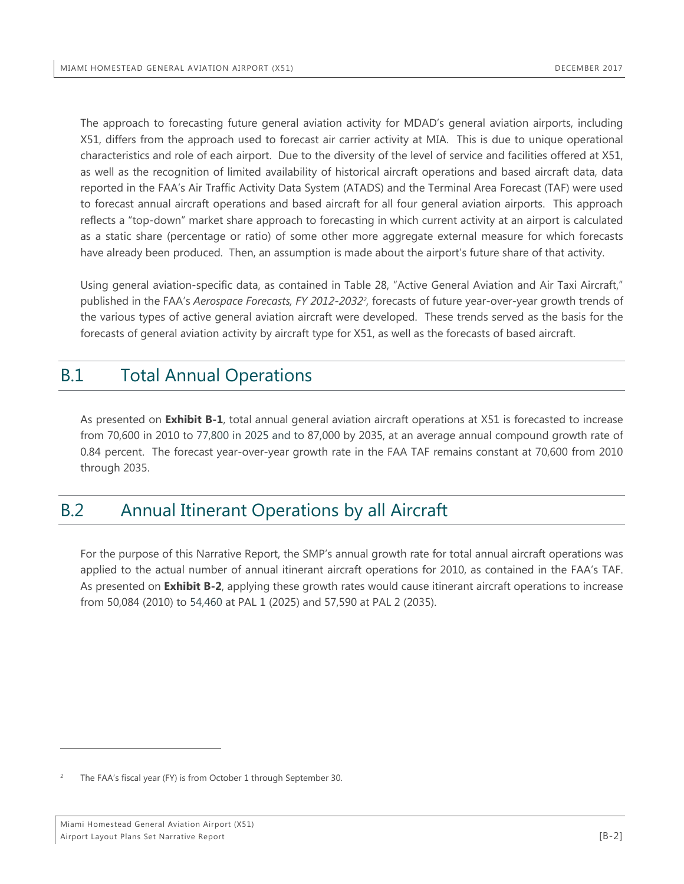The approach to forecasting future general aviation activity for MDAD's general aviation airports, including X51, differs from the approach used to forecast air carrier activity at MIA. This is due to unique operational characteristics and role of each airport. Due to the diversity of the level of service and facilities offered at X51, as well as the recognition of limited availability of historical aircraft operations and based aircraft data, data reported in the FAA's Air Traffic Activity Data System (ATADS) and the Terminal Area Forecast (TAF) were used to forecast annual aircraft operations and based aircraft for all four general aviation airports. This approach reflects a "top-down" market share approach to forecasting in which current activity at an airport is calculated as a static share (percentage or ratio) of some other more aggregate external measure for which forecasts have already been produced. Then, an assumption is made about the airport's future share of that activity.

Using general aviation-specific data, as contained in Table 28, "Active General Aviation and Air Taxi Aircraft," published in the FAA's *Aerospace Forecasts, FY 2012-2032[2](#page-13-2) ,* forecasts of future year-over-year growth trends of the various types of active general aviation aircraft were developed. These trends served as the basis for the forecasts of general aviation activity by aircraft type for X51, as well as the forecasts of based aircraft.

## <span id="page-13-0"></span>B.1 Total Annual Operations

As presented on **Exhibit B-1**, total annual general aviation aircraft operations at X51 is forecasted to increase from 70,600 in 2010 to 77,800 in 2025 and to 87,000 by 2035, at an average annual compound growth rate of 0.84 percent. The forecast year-over-year growth rate in the FAA TAF remains constant at 70,600 from 2010 through 2035.

### <span id="page-13-1"></span>B.2 Annual Itinerant Operations by all Aircraft

For the purpose of this Narrative Report, the SMP's annual growth rate for total annual aircraft operations was applied to the actual number of annual itinerant aircraft operations for 2010, as contained in the FAA's TAF. As presented on **Exhibit B-2**, applying these growth rates would cause itinerant aircraft operations to increase from 50,084 (2010) to 54,460 at PAL 1 (2025) and 57,590 at PAL 2 (2035).

 $\overline{a}$ 

<span id="page-13-2"></span>The FAA's fiscal year (FY) is from October 1 through September 30.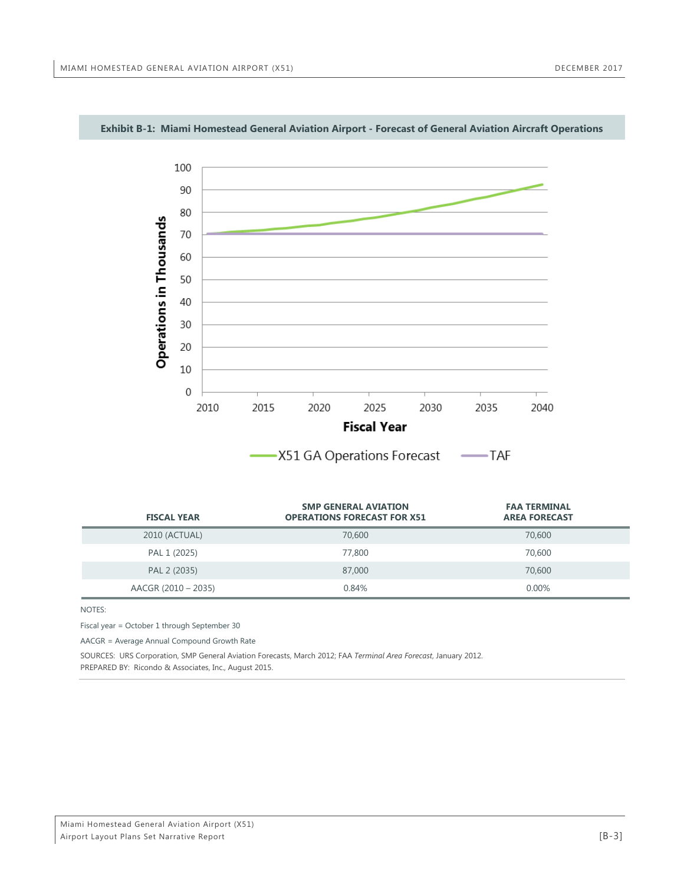

#### <span id="page-14-0"></span>**Exhibit B-1: Miami Homestead General Aviation Airport - Forecast of General Aviation Aircraft Operations**

| <b>FISCAL YEAR</b>  | <b>SMP GENERAL AVIATION</b><br><b>OPERATIONS FORECAST FOR X51</b> | <b>FAA TERMINAL</b><br><b>AREA FORECAST</b> |
|---------------------|-------------------------------------------------------------------|---------------------------------------------|
| 2010 (ACTUAL)       | 70,600                                                            | 70,600                                      |
| PAL 1 (2025)        | 77,800                                                            | 70,600                                      |
| PAL 2 (2035)        | 87,000                                                            | 70,600                                      |
| AACGR (2010 - 2035) | 0.84%                                                             | $0.00\%$                                    |

NOTES:

Fiscal year = October 1 through September 30

AACGR = Average Annual Compound Growth Rate

SOURCES: URS Corporation, SMP General Aviation Forecasts, March 2012; FAA *Terminal Area Forecast*, January 2012.

PREPARED BY: Ricondo & Associates, Inc., August 2015.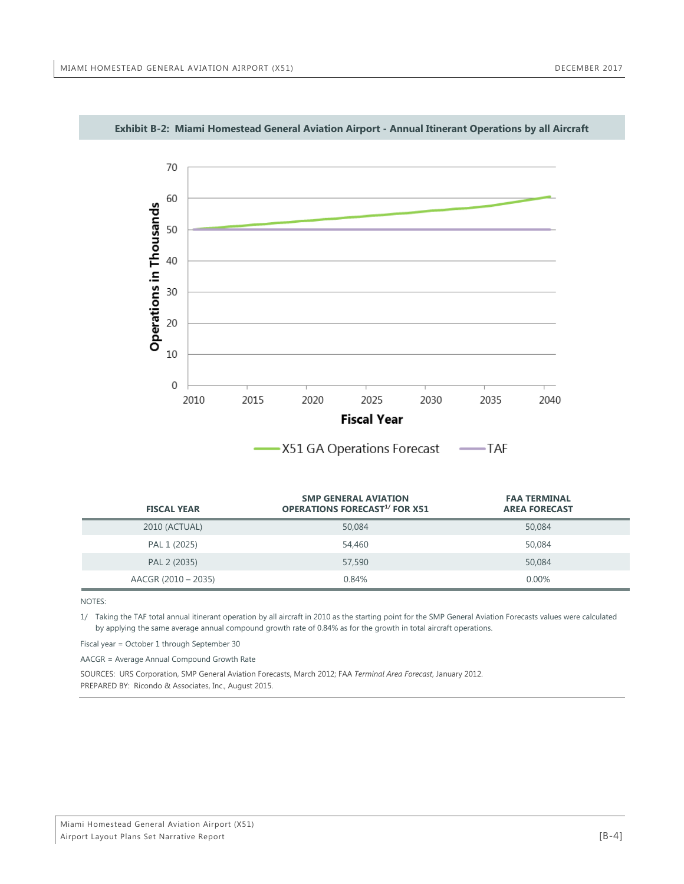

#### <span id="page-15-0"></span>**Exhibit B-2: Miami Homestead General Aviation Airport - Annual Itinerant Operations by all Aircraft**

| AST ON OPCREDIS FORCOSE | 17 M |
|-------------------------|------|
|                         |      |
|                         |      |

| <b>FISCAL YEAR</b>  | <b>SMP GENERAL AVIATION</b><br><b>OPERATIONS FORECAST<sup>1/</sup> FOR X51</b> | <b>FAA TERMINAL</b><br><b>AREA FORECAST</b> |
|---------------------|--------------------------------------------------------------------------------|---------------------------------------------|
| 2010 (ACTUAL)       | 50,084                                                                         | 50,084                                      |
| PAL 1 (2025)        | 54,460                                                                         | 50,084                                      |
| PAL 2 (2035)        | 57,590                                                                         | 50,084                                      |
| AACGR (2010 - 2035) | 0.84%                                                                          | 0.00%                                       |

NOTES:

1/ Taking the TAF total annual itinerant operation by all aircraft in 2010 as the starting point for the SMP General Aviation Forecasts values were calculated by applying the same average annual compound growth rate of 0.84% as for the growth in total aircraft operations.

Fiscal year = October 1 through September 30

AACGR = Average Annual Compound Growth Rate

SOURCES: URS Corporation, SMP General Aviation Forecasts, March 2012; FAA *Terminal Area Forecast*, January 2012. PREPARED BY: Ricondo & Associates, Inc., August 2015.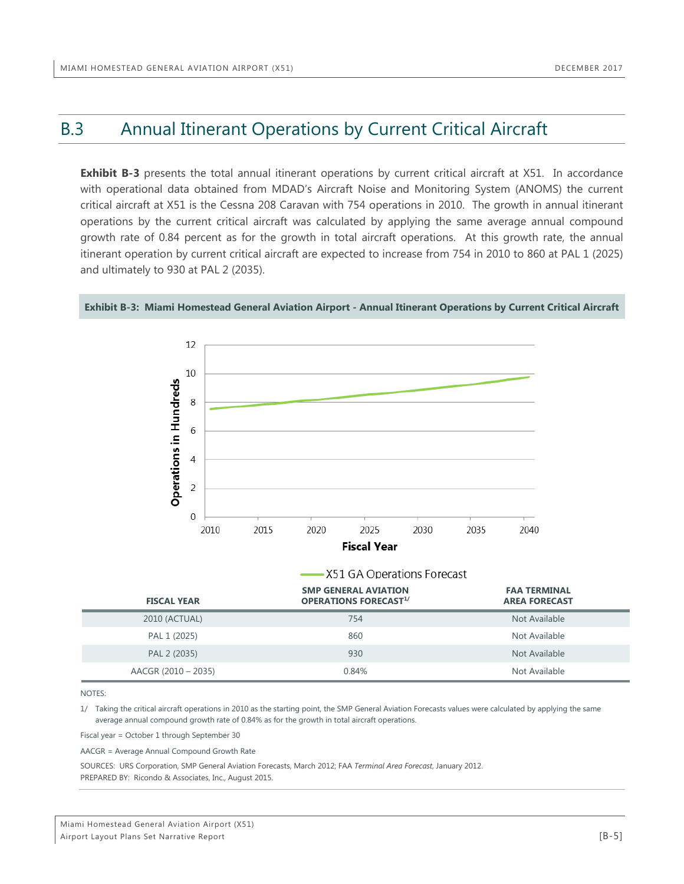## <span id="page-16-0"></span>B.3 Annual Itinerant Operations by Current Critical Aircraft

**Exhibit B-3** presents the total annual itinerant operations by current critical aircraft at X51. In accordance with operational data obtained from MDAD's Aircraft Noise and Monitoring System (ANOMS) the current critical aircraft at X51 is the Cessna 208 Caravan with 754 operations in 2010. The growth in annual itinerant operations by the current critical aircraft was calculated by applying the same average annual compound growth rate of 0.84 percent as for the growth in total aircraft operations. At this growth rate, the annual itinerant operation by current critical aircraft are expected to increase from 754 in 2010 to 860 at PAL 1 (2025) and ultimately to 930 at PAL 2 (2035).



<span id="page-16-1"></span>**Exhibit B-3: Miami Homestead General Aviation Airport - Annual Itinerant Operations by Current Critical Aircraft**

|                     | — X51 GA Operations Forecast                                |                                             |  |  |
|---------------------|-------------------------------------------------------------|---------------------------------------------|--|--|
| <b>FISCAL YEAR</b>  | <b>SMP GENERAL AVIATION</b><br><b>OPERATIONS FORECAST1/</b> | <b>FAA TERMINAL</b><br><b>AREA FORECAST</b> |  |  |
| 2010 (ACTUAL)       | 754                                                         | Not Available                               |  |  |
| PAL 1 (2025)        | 860                                                         | Not Available                               |  |  |
| PAL 2 (2035)        | 930                                                         | Not Available                               |  |  |
| AACGR (2010 - 2035) | 0.84%                                                       | Not Available                               |  |  |

NOTES:

1/ Taking the critical aircraft operations in 2010 as the starting point, the SMP General Aviation Forecasts values were calculated by applying the same average annual compound growth rate of 0.84% as for the growth in total aircraft operations.

Fiscal year = October 1 through September 30

AACGR = Average Annual Compound Growth Rate

SOURCES: URS Corporation, SMP General Aviation Forecasts, March 2012; FAA *Terminal Area Forecast*, January 2012. PREPARED BY: Ricondo & Associates, Inc., August 2015.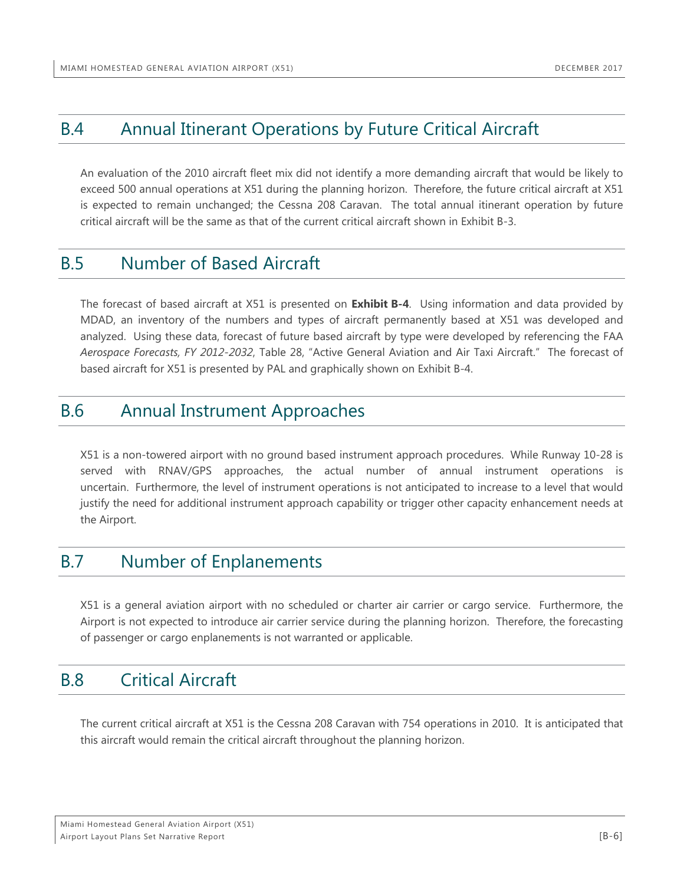## <span id="page-17-0"></span>B.4 Annual Itinerant Operations by Future Critical Aircraft

An evaluation of the 2010 aircraft fleet mix did not identify a more demanding aircraft that would be likely to exceed 500 annual operations at X51 during the planning horizon. Therefore, the future critical aircraft at X51 is expected to remain unchanged; the Cessna 208 Caravan. The total annual itinerant operation by future critical aircraft will be the same as that of the current critical aircraft shown in Exhibit B-3.

### <span id="page-17-1"></span>B.5 Number of Based Aircraft

The forecast of based aircraft at X51 is presented on **Exhibit B-4**. Using information and data provided by MDAD, an inventory of the numbers and types of aircraft permanently based at X51 was developed and analyzed. Using these data, forecast of future based aircraft by type were developed by referencing the FAA *Aerospace Forecasts, FY 2012-2032*, Table 28, "Active General Aviation and Air Taxi Aircraft." The forecast of based aircraft for X51 is presented by PAL and graphically shown on Exhibit B-4.

## <span id="page-17-2"></span>B.6 Annual Instrument Approaches

X51 is a non-towered airport with no ground based instrument approach procedures. While Runway 10-28 is served with RNAV/GPS approaches, the actual number of annual instrument operations is uncertain. Furthermore, the level of instrument operations is not anticipated to increase to a level that would justify the need for additional instrument approach capability or trigger other capacity enhancement needs at the Airport.

## <span id="page-17-3"></span>B.7 Number of Enplanements

X51 is a general aviation airport with no scheduled or charter air carrier or cargo service. Furthermore, the Airport is not expected to introduce air carrier service during the planning horizon. Therefore, the forecasting of passenger or cargo enplanements is not warranted or applicable.

## <span id="page-17-4"></span>B.8 Critical Aircraft

The current critical aircraft at X51 is the Cessna 208 Caravan with 754 operations in 2010. It is anticipated that this aircraft would remain the critical aircraft throughout the planning horizon.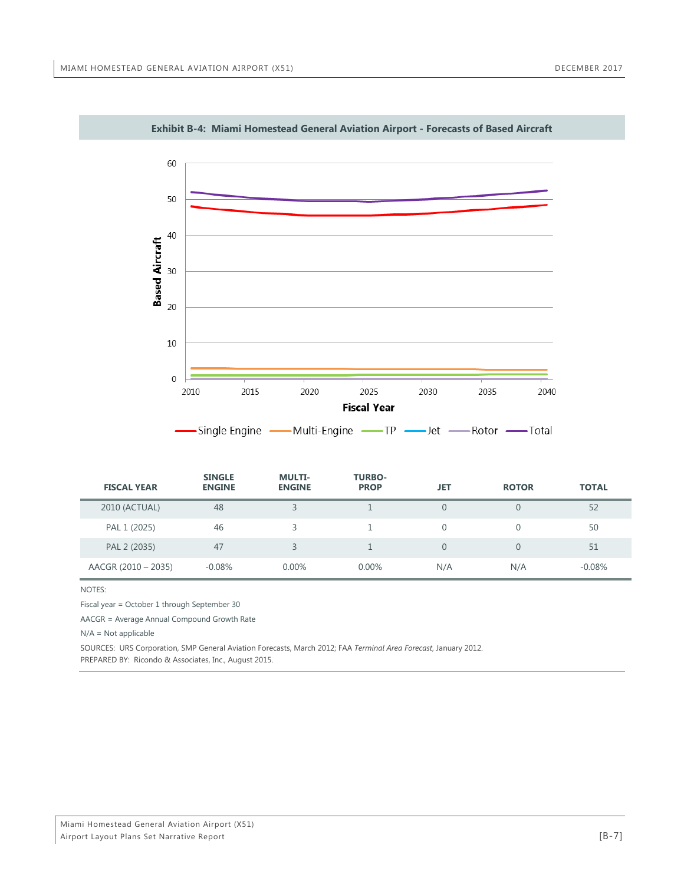<span id="page-18-0"></span>

**Exhibit B-4: Miami Homestead General Aviation Airport - Forecasts of Based Aircraft**

| <b>FISCAL YEAR</b>  | <b>SINGLE</b><br><b>ENGINE</b> | <b>MULTI-</b><br><b>ENGINE</b> | <b>TURBO-</b><br><b>PROP</b> | JET      | <b>ROTOR</b> | <b>TOTAL</b> |
|---------------------|--------------------------------|--------------------------------|------------------------------|----------|--------------|--------------|
| 2010 (ACTUAL)       | 48                             |                                |                              |          |              | 52           |
| PAL 1 (2025)        | 46                             |                                |                              |          |              | 50           |
| PAL 2 (2035)        | 47                             | ⊋                              |                              | $\Omega$ |              | 51           |
| AACGR (2010 - 2035) | $-0.08%$                       | $0.00\%$                       | $0.00\%$                     | N/A      | N/A          | $-0.08%$     |

#### NOTES:

Fiscal year = October 1 through September 30

AACGR = Average Annual Compound Growth Rate

N/A = Not applicable

SOURCES: URS Corporation, SMP General Aviation Forecasts, March 2012; FAA *Terminal Area Forecast*, January 2012. PREPARED BY: Ricondo & Associates, Inc., August 2015.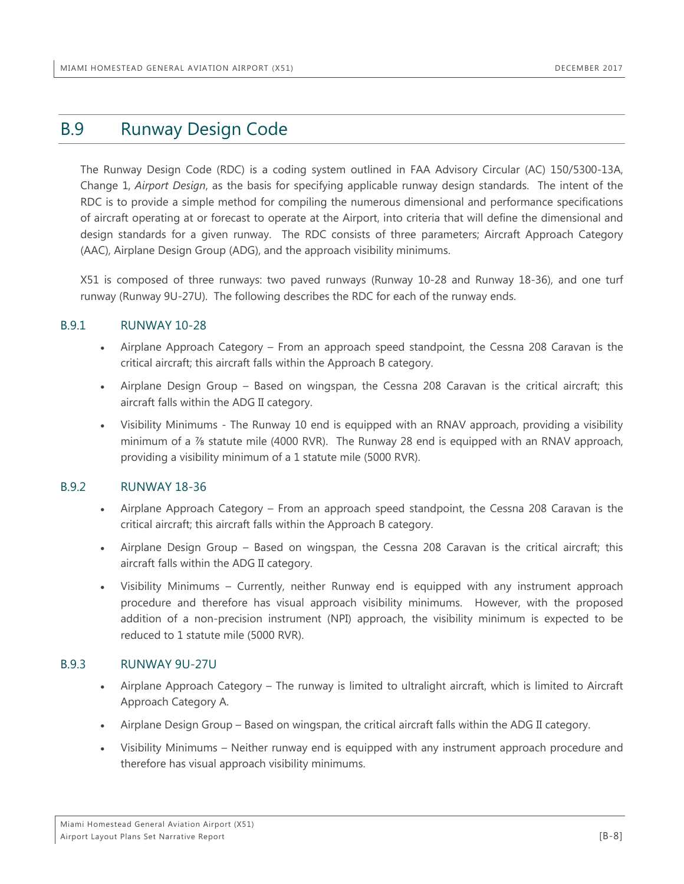### <span id="page-19-0"></span>B.9 Runway Design Code

The Runway Design Code (RDC) is a coding system outlined in FAA Advisory Circular (AC) 150/5300-13A, Change 1, *Airport Design*, as the basis for specifying applicable runway design standards. The intent of the RDC is to provide a simple method for compiling the numerous dimensional and performance specifications of aircraft operating at or forecast to operate at the Airport, into criteria that will define the dimensional and design standards for a given runway. The RDC consists of three parameters; Aircraft Approach Category (AAC), Airplane Design Group (ADG), and the approach visibility minimums.

X51 is composed of three runways: two paved runways (Runway 10-28 and Runway 18-36), and one turf runway (Runway 9U-27U). The following describes the RDC for each of the runway ends.

#### <span id="page-19-1"></span>B.9.1 RUNWAY 10-28

- Airplane Approach Category From an approach speed standpoint, the Cessna 208 Caravan is the critical aircraft; this aircraft falls within the Approach B category.
- Airplane Design Group Based on wingspan, the Cessna 208 Caravan is the critical aircraft; this aircraft falls within the ADG II category.
- Visibility Minimums The Runway 10 end is equipped with an RNAV approach, providing a visibility minimum of a ⅞ statute mile (4000 RVR). The Runway 28 end is equipped with an RNAV approach, providing a visibility minimum of a 1 statute mile (5000 RVR).

#### <span id="page-19-2"></span>B.9.2 RUNWAY 18-36

- Airplane Approach Category From an approach speed standpoint, the Cessna 208 Caravan is the critical aircraft; this aircraft falls within the Approach B category.
- Airplane Design Group Based on wingspan, the Cessna 208 Caravan is the critical aircraft; this aircraft falls within the ADG II category.
- Visibility Minimums Currently, neither Runway end is equipped with any instrument approach procedure and therefore has visual approach visibility minimums. However, with the proposed addition of a non-precision instrument (NPI) approach, the visibility minimum is expected to be reduced to 1 statute mile (5000 RVR).

#### <span id="page-19-3"></span>B.9.3 RUNWAY 9U-27U

- Airplane Approach Category The runway is limited to ultralight aircraft, which is limited to Aircraft Approach Category A.
- Airplane Design Group Based on wingspan, the critical aircraft falls within the ADG II category.
- Visibility Minimums Neither runway end is equipped with any instrument approach procedure and therefore has visual approach visibility minimums.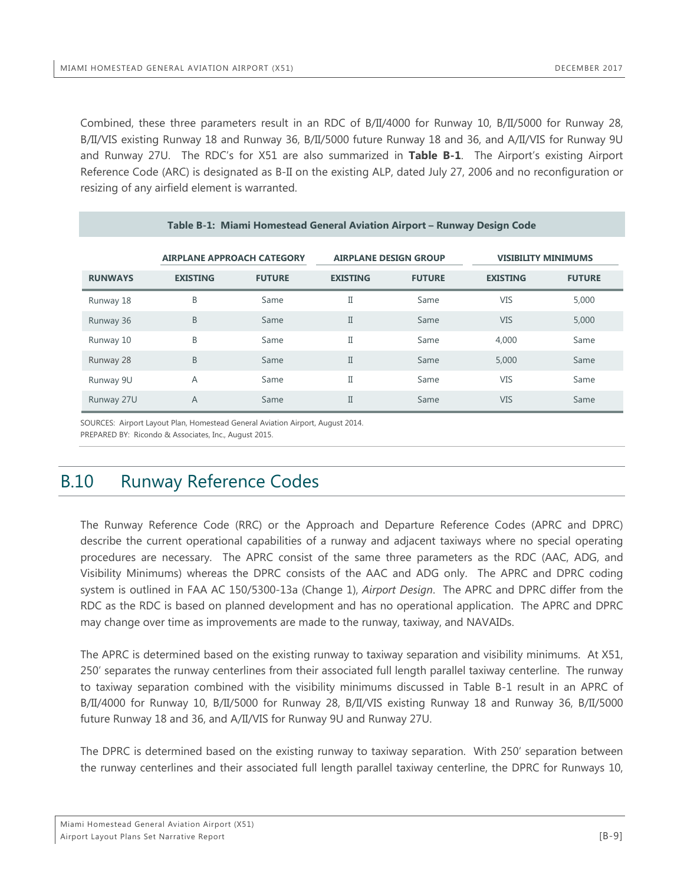Combined, these three parameters result in an RDC of B/II/4000 for Runway 10, B/II/5000 for Runway 28, B/II/VIS existing Runway 18 and Runway 36, B/II/5000 future Runway 18 and 36, and A/II/VIS for Runway 9U and Runway 27U. The RDC's for X51 are also summarized in **Table B-1**. The Airport's existing Airport Reference Code (ARC) is designated as B-II on the existing ALP, dated July 27, 2006 and no reconfiguration or resizing of any airfield element is warranted.

<span id="page-20-1"></span>

| Table B-1: Miami Homestead General Aviation Airport - Runway Design Code |                                   |               |                              |               |                            |               |  |
|--------------------------------------------------------------------------|-----------------------------------|---------------|------------------------------|---------------|----------------------------|---------------|--|
|                                                                          | <b>AIRPLANE APPROACH CATEGORY</b> |               | <b>AIRPLANE DESIGN GROUP</b> |               | <b>VISIBILITY MINIMUMS</b> |               |  |
| <b>RUNWAYS</b>                                                           | <b>EXISTING</b>                   | <b>FUTURE</b> | <b>EXISTING</b>              | <b>FUTURE</b> | <b>EXISTING</b>            | <b>FUTURE</b> |  |
| Runway 18                                                                | B                                 | Same          | Π                            | Same          | VIS                        | 5,000         |  |
| Runway 36                                                                | B                                 | Same          | Π                            | Same          | <b>VIS</b>                 | 5,000         |  |
| Runway 10                                                                | B                                 | Same          | Π                            | Same          | 4,000                      | Same          |  |
| Runway 28                                                                | B                                 | Same          | $\mathbf I$                  | Same          | 5,000                      | Same          |  |
| Runway 9U                                                                | A                                 | Same          | Π                            | Same          | VIS                        | Same          |  |
| Runway 27U                                                               | A                                 | Same          | $\mathbf I$                  | Same          | <b>VIS</b>                 | Same          |  |

SOURCES: Airport Layout Plan, Homestead General Aviation Airport, August 2014. PREPARED BY: Ricondo & Associates, Inc., August 2015.

### <span id="page-20-0"></span>B.10 Runway Reference Codes

The Runway Reference Code (RRC) or the Approach and Departure Reference Codes (APRC and DPRC) describe the current operational capabilities of a runway and adjacent taxiways where no special operating procedures are necessary. The APRC consist of the same three parameters as the RDC (AAC, ADG, and Visibility Minimums) whereas the DPRC consists of the AAC and ADG only. The APRC and DPRC coding system is outlined in FAA AC 150/5300-13a (Change 1), *Airport Design*. The APRC and DPRC differ from the RDC as the RDC is based on planned development and has no operational application. The APRC and DPRC may change over time as improvements are made to the runway, taxiway, and NAVAIDs.

The APRC is determined based on the existing runway to taxiway separation and visibility minimums. At X51, 250' separates the runway centerlines from their associated full length parallel taxiway centerline. The runway to taxiway separation combined with the visibility minimums discussed in Table B-1 result in an APRC of B/II/4000 for Runway 10, B/II/5000 for Runway 28, B/II/VIS existing Runway 18 and Runway 36, B/II/5000 future Runway 18 and 36, and A/II/VIS for Runway 9U and Runway 27U.

The DPRC is determined based on the existing runway to taxiway separation. With 250' separation between the runway centerlines and their associated full length parallel taxiway centerline, the DPRC for Runways 10,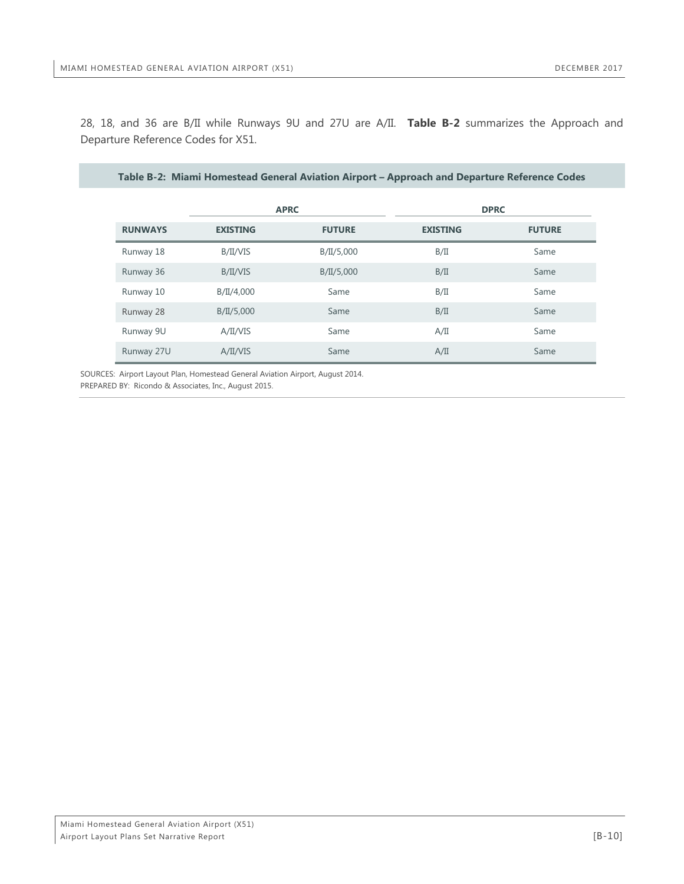<span id="page-21-0"></span>28, 18, and 36 are B/II while Runways 9U and 27U are A/II. **Table B-2** summarizes the Approach and Departure Reference Codes for X51.

| Table B-2: Miami Homestead General Aviation Airport – Approach and Departure Reference Codes |                 |               |                 |               |  |  |  |
|----------------------------------------------------------------------------------------------|-----------------|---------------|-----------------|---------------|--|--|--|
|                                                                                              | <b>APRC</b>     | <b>DPRC</b>   |                 |               |  |  |  |
| <b>RUNWAYS</b>                                                                               | <b>EXISTING</b> | <b>FUTURE</b> | <b>EXISTING</b> | <b>FUTURE</b> |  |  |  |
| Runway 18                                                                                    | B/II/VIS        | B/II/5,000    | B/II            | Same          |  |  |  |
| Runway 36                                                                                    | B/II/VIS        | B/II/5,000    | B/II            | Same          |  |  |  |
| Runway 10                                                                                    | B/II/4,000      | Same          | B/II            | Same          |  |  |  |
| Runway 28                                                                                    | B/II/5,000      | Same          | B/II            | Same          |  |  |  |
| Runway 9U                                                                                    | A/II/VIS        | Same          | A/II            | Same          |  |  |  |
| Runway 27U                                                                                   | A/II/VIS        | Same          | A/II            | Same          |  |  |  |

SOURCES: Airport Layout Plan, Homestead General Aviation Airport, August 2014. PREPARED BY: Ricondo & Associates, Inc., August 2015.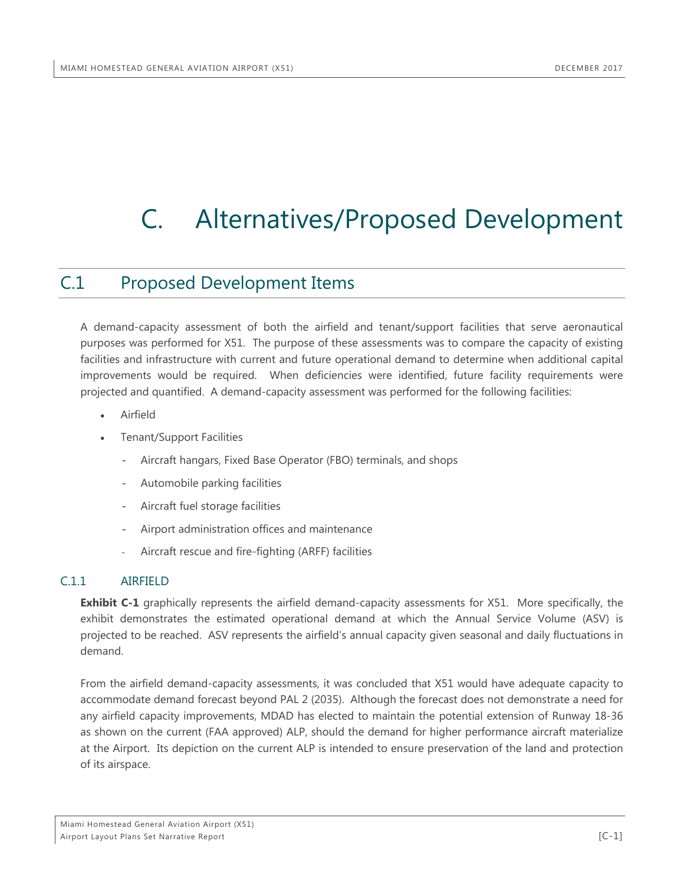## <span id="page-22-0"></span>C. Alternatives/Proposed Development

### <span id="page-22-1"></span>C.1 Proposed Development Items

A demand-capacity assessment of both the airfield and tenant/support facilities that serve aeronautical purposes was performed for X51. The purpose of these assessments was to compare the capacity of existing facilities and infrastructure with current and future operational demand to determine when additional capital improvements would be required. When deficiencies were identified, future facility requirements were projected and quantified. A demand-capacity assessment was performed for the following facilities:

- **Airfield**
- Tenant/Support Facilities
	- Aircraft hangars, Fixed Base Operator (FBO) terminals, and shops
	- Automobile parking facilities
	- Aircraft fuel storage facilities
	- Airport administration offices and maintenance
	- Aircraft rescue and fire-fighting (ARFF) facilities

#### <span id="page-22-2"></span>C.1.1 AIRFIELD

**Exhibit C-1** graphically represents the airfield demand-capacity assessments for X51. More specifically, the exhibit demonstrates the estimated operational demand at which the Annual Service Volume (ASV) is projected to be reached. ASV represents the airfield's annual capacity given seasonal and daily fluctuations in demand.

From the airfield demand-capacity assessments, it was concluded that X51 would have adequate capacity to accommodate demand forecast beyond PAL 2 (2035). Although the forecast does not demonstrate a need for any airfield capacity improvements, MDAD has elected to maintain the potential extension of Runway 18-36 as shown on the current (FAA approved) ALP, should the demand for higher performance aircraft materialize at the Airport. Its depiction on the current ALP is intended to ensure preservation of the land and protection of its airspace.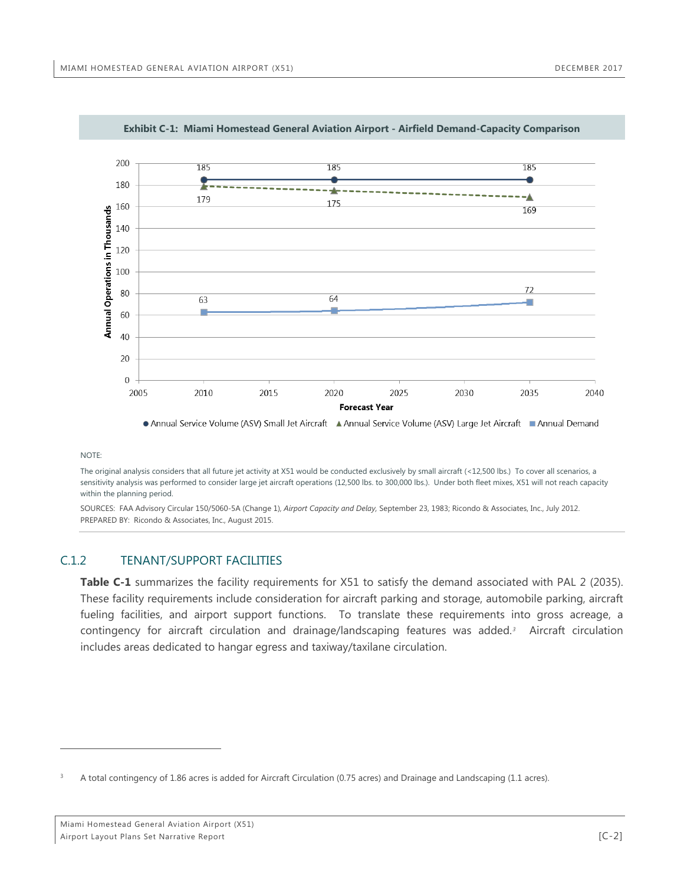<span id="page-23-1"></span>

**Exhibit C-1: Miami Homestead General Aviation Airport - Airfield Demand-Capacity Comparison**

#### NOTE:

 $\overline{a}$ 

The original analysis considers that all future jet activity at X51 would be conducted exclusively by small aircraft (<12,500 lbs.) To cover all scenarios, a sensitivity analysis was performed to consider large jet aircraft operations (12,500 lbs. to 300,000 lbs.). Under both fleet mixes, X51 will not reach capacity within the planning period.

SOURCES: FAA Advisory Circular 150/5060-5A (Change 1), *Airport Capacity and Delay,* September 23, 1983; Ricondo & Associates, Inc., July 2012. PREPARED BY: Ricondo & Associates, Inc., August 2015.

#### <span id="page-23-0"></span>C.1.2 TENANT/SUPPORT FACILITIES

**Table C-1** summarizes the facility requirements for X51 to satisfy the demand associated with PAL 2 (2035). These facility requirements include consideration for aircraft parking and storage, automobile parking, aircraft fueling facilities, and airport support functions. To translate these requirements into gross acreage, a contingency for aircraft circulation and drainage/landscaping features was added.*[3](#page-23-2)* Aircraft circulation includes areas dedicated to hangar egress and taxiway/taxilane circulation.

<span id="page-23-2"></span><sup>3</sup> A total contingency of 1.86 acres is added for Aircraft Circulation (0.75 acres) and Drainage and Landscaping (1.1 acres).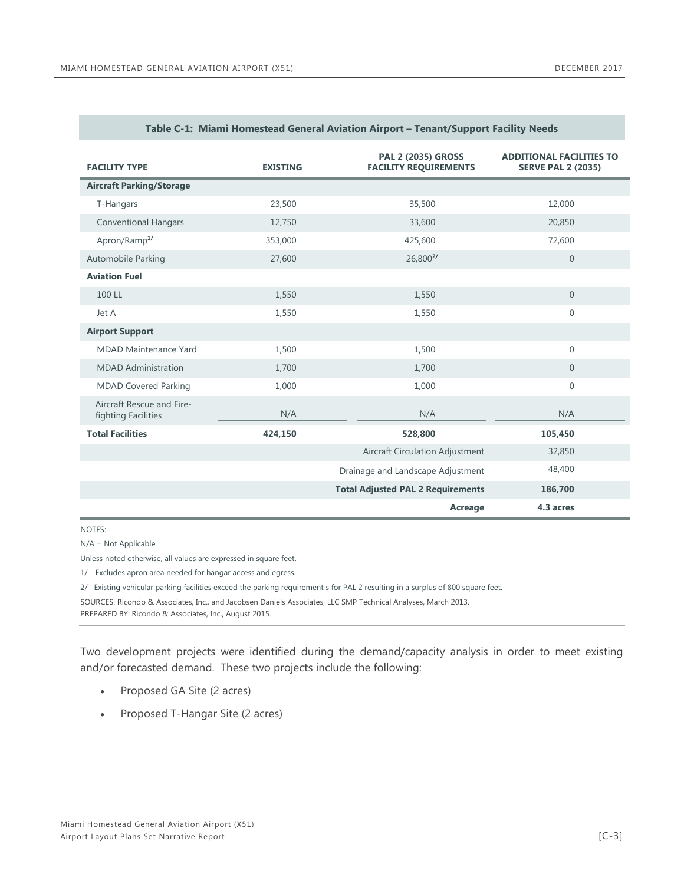<span id="page-24-0"></span>

| <b>FACILITY TYPE</b>                             | <b>EXISTING</b> | <b>PAL 2 (2035) GROSS</b><br><b>FACILITY REQUIREMENTS</b> | <b>ADDITIONAL FACILITIES TO</b><br><b>SERVE PAL 2 (2035)</b> |
|--------------------------------------------------|-----------------|-----------------------------------------------------------|--------------------------------------------------------------|
| <b>Aircraft Parking/Storage</b>                  |                 |                                                           |                                                              |
| T-Hangars                                        | 23,500          | 35,500                                                    | 12,000                                                       |
| <b>Conventional Hangars</b>                      | 12,750          | 33,600                                                    | 20,850                                                       |
| Apron/Ramp <sup>1/</sup>                         | 353,000         | 425,600                                                   | 72,600                                                       |
| Automobile Parking                               | 27,600          | 26,800 <sup>2/</sup>                                      | $\overline{0}$                                               |
| <b>Aviation Fuel</b>                             |                 |                                                           |                                                              |
| 100 LL                                           | 1,550           | 1,550                                                     | $\overline{0}$                                               |
| Jet A                                            | 1,550           | 1,550                                                     | $\overline{0}$                                               |
| <b>Airport Support</b>                           |                 |                                                           |                                                              |
| <b>MDAD Maintenance Yard</b>                     | 1,500           | 1,500                                                     | $\overline{0}$                                               |
| <b>MDAD</b> Administration                       | 1,700           | 1,700                                                     | $\Omega$                                                     |
| <b>MDAD Covered Parking</b>                      | 1,000           | 1,000                                                     | $\overline{0}$                                               |
| Aircraft Rescue and Fire-<br>fighting Facilities | N/A             | N/A                                                       | N/A                                                          |
| <b>Total Facilities</b>                          | 424,150         | 528,800                                                   | 105,450                                                      |
|                                                  |                 | Aircraft Circulation Adjustment                           | 32,850                                                       |
|                                                  |                 | Drainage and Landscape Adjustment                         | 48,400                                                       |
|                                                  |                 | <b>Total Adjusted PAL 2 Requirements</b>                  | 186,700                                                      |
|                                                  |                 | Acreage                                                   | 4.3 acres                                                    |

#### **Table C-1: Miami Homestead General Aviation Airport – Tenant/Support Facility Needs**

#### NOTES:

N/A = Not Applicable

Unless noted otherwise, all values are expressed in square feet.

1/ Excludes apron area needed for hangar access and egress.

2/ Existing vehicular parking facilities exceed the parking requirement s for PAL 2 resulting in a surplus of 800 square feet.

SOURCES: Ricondo & Associates, Inc., and Jacobsen Daniels Associates, LLC SMP Technical Analyses, March 2013.

PREPARED BY: Ricondo & Associates, Inc., August 2015.

Two development projects were identified during the demand/capacity analysis in order to meet existing and/or forecasted demand. These two projects include the following:

- Proposed GA Site (2 acres)
- Proposed T-Hangar Site (2 acres)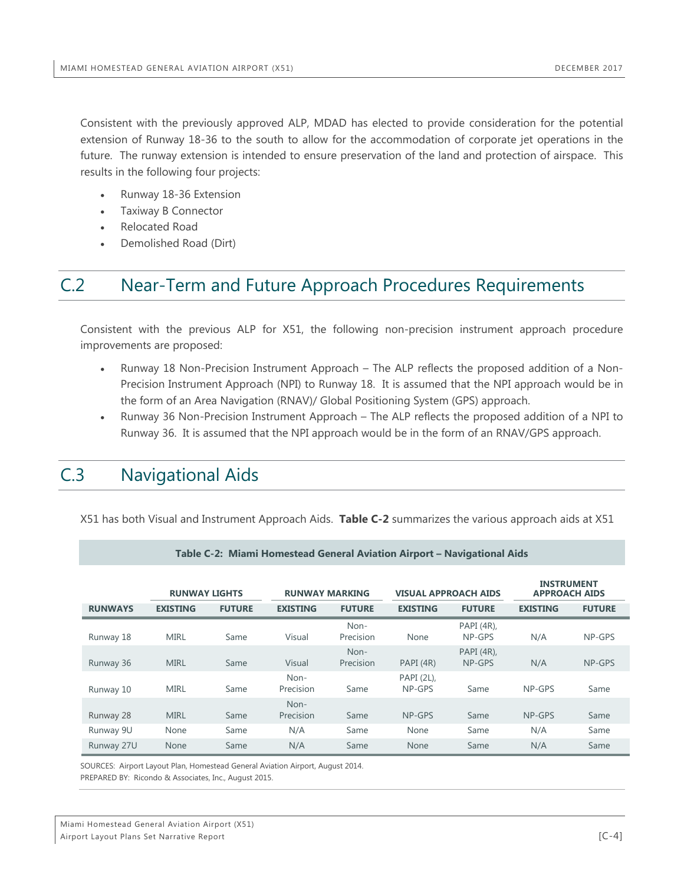Consistent with the previously approved ALP, MDAD has elected to provide consideration for the potential extension of Runway 18-36 to the south to allow for the accommodation of corporate jet operations in the future. The runway extension is intended to ensure preservation of the land and protection of airspace. This results in the following four projects:

- Runway 18-36 Extension
- Taxiway B Connector
- Relocated Road
- Demolished Road (Dirt)

## <span id="page-25-0"></span>C.2 Near-Term and Future Approach Procedures Requirements

Consistent with the previous ALP for X51, the following non-precision instrument approach procedure improvements are proposed:

- Runway 18 Non-Precision Instrument Approach The ALP reflects the proposed addition of a Non-Precision Instrument Approach (NPI) to Runway 18. It is assumed that the NPI approach would be in the form of an Area Navigation (RNAV)/ Global Positioning System (GPS) approach.
- Runway 36 Non-Precision Instrument Approach The ALP reflects the proposed addition of a NPI to Runway 36. It is assumed that the NPI approach would be in the form of an RNAV/GPS approach.

## <span id="page-25-1"></span>C.3 Navigational Aids

<span id="page-25-2"></span>X51 has both Visual and Instrument Approach Aids. **Table C-2** summarizes the various approach aids at X51

|                | <b>RUNWAY LIGHTS</b> |               |                   | <b>RUNWAY MARKING</b> |                      | <b>VISUAL APPROACH AIDS</b> | <b>INSTRUMENT</b><br><b>APPROACH AIDS</b> |               |
|----------------|----------------------|---------------|-------------------|-----------------------|----------------------|-----------------------------|-------------------------------------------|---------------|
| <b>RUNWAYS</b> | <b>EXISTING</b>      | <b>FUTURE</b> | <b>EXISTING</b>   | <b>FUTURE</b>         | <b>EXISTING</b>      | <b>FUTURE</b>               | <b>EXISTING</b>                           | <b>FUTURE</b> |
| Runway 18      | <b>MIRL</b>          | Same          | Visual            | Non-<br>Precision     | None                 | PAPI (4R),<br>NP-GPS        | N/A                                       | NP-GPS        |
| Runway 36      | <b>MIRL</b>          | Same          | Visual            | Non-<br>Precision     | PAPI (4R)            | PAPI (4R),<br>NP-GPS        | N/A                                       | NP-GPS        |
| Runway 10      | <b>MIRL</b>          | Same          | Non-<br>Precision | Same                  | PAPI (2L),<br>NP-GPS | Same                        | NP-GPS                                    | Same          |
| Runway 28      | <b>MIRL</b>          | Same          | Non-<br>Precision | Same                  | NP-GPS               | Same                        | NP-GPS                                    | Same          |
| Runway 9U      | None                 | Same          | N/A               | Same                  | None                 | Same                        | N/A                                       | Same          |
| Runway 27U     | None                 | Same          | N/A               | Same                  | <b>None</b>          | Same                        | N/A                                       | Same          |

#### **Table C-2: Miami Homestead General Aviation Airport – Navigational Aids**

SOURCES: Airport Layout Plan, Homestead General Aviation Airport, August 2014.

PREPARED BY: Ricondo & Associates, Inc., August 2015.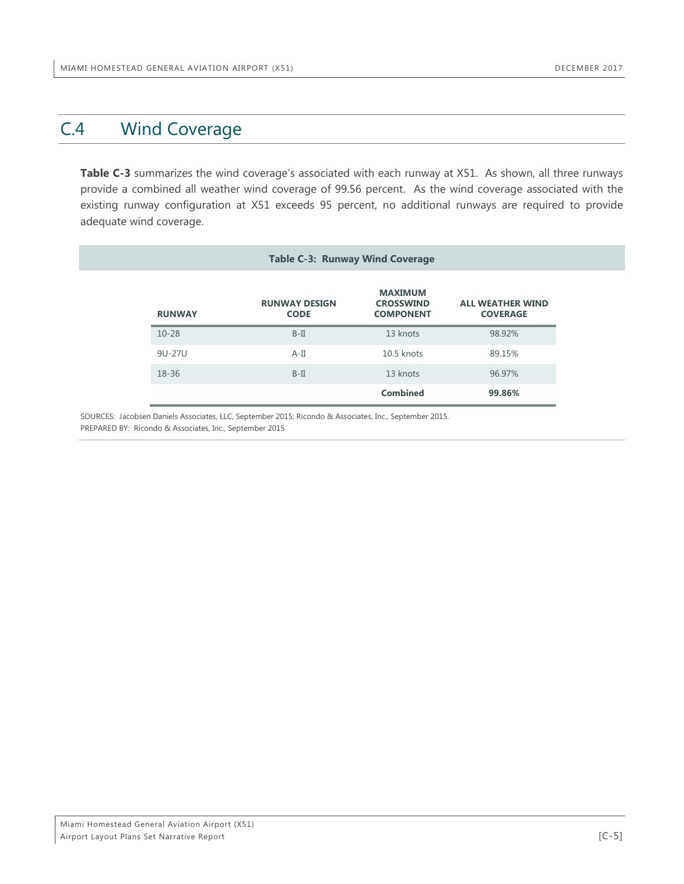### <span id="page-26-0"></span>C.4 Wind Coverage

Table C-3 summarizes the wind coverage's associated with each runway at X51. As shown, all three runways provide a combined all weather wind coverage of 99.56 percent. As the wind coverage associated with the existing runway configuration at X51 exceeds 95 percent, no additional runways are required to provide adequate wind coverage.

<span id="page-26-1"></span>

| <b>Table C-3: Runway Wind Coverage</b> |                                     |                                                        |                                            |  |  |  |
|----------------------------------------|-------------------------------------|--------------------------------------------------------|--------------------------------------------|--|--|--|
| <b>RUNWAY</b>                          | <b>RUNWAY DESIGN</b><br><b>CODE</b> | <b>MAXIMUM</b><br><b>CROSSWIND</b><br><b>COMPONENT</b> | <b>ALL WEATHER WIND</b><br><b>COVERAGE</b> |  |  |  |
| $10 - 28$                              | $B-II$                              | 13 knots                                               | 98.92%                                     |  |  |  |
| 9U-27U                                 | $A-II$                              | 10.5 knots                                             | 89.15%                                     |  |  |  |
| 18-36                                  | $B-II$                              | 13 knots                                               | 96.97%                                     |  |  |  |
|                                        |                                     | <b>Combined</b>                                        | 99.86%                                     |  |  |  |

SOURCES: Jacobsen Daniels Associates, LLC, September 2015; Ricondo & Associates, Inc., September 2015. PREPARED BY: Ricondo & Associates, Inc., September 2015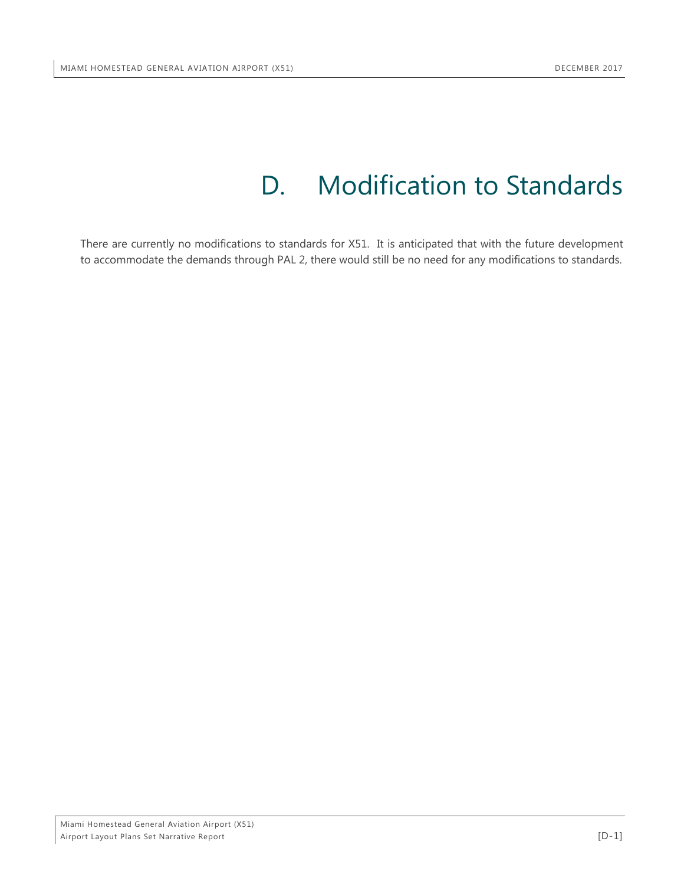## D. Modification to Standards

<span id="page-27-0"></span>There are currently no modifications to standards for X51. It is anticipated that with the future development to accommodate the demands through PAL 2, there would still be no need for any modifications to standards.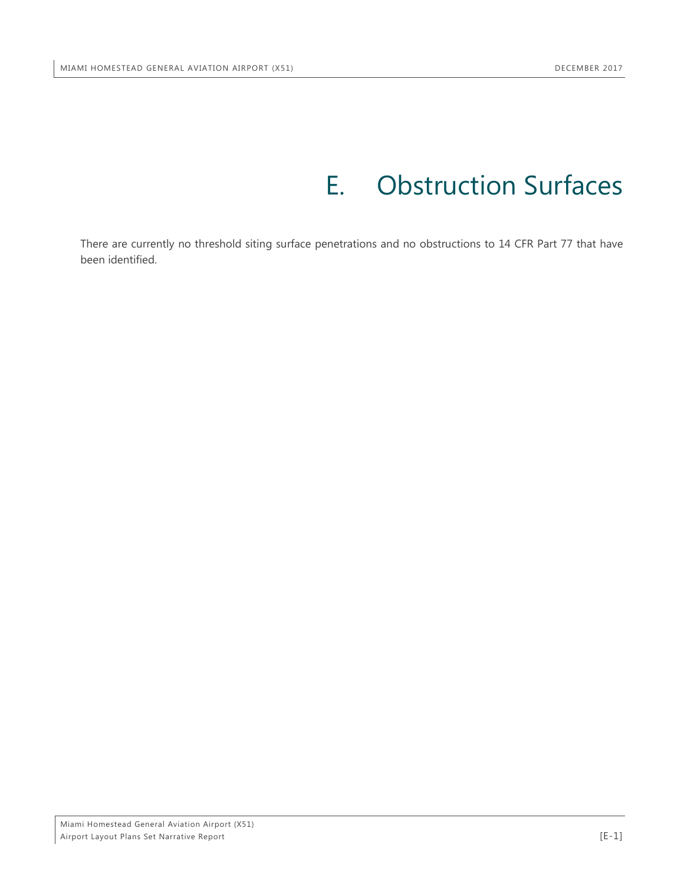## E. Obstruction Surfaces

<span id="page-28-0"></span>There are currently no threshold siting surface penetrations and no obstructions to 14 CFR Part 77 that have been identified.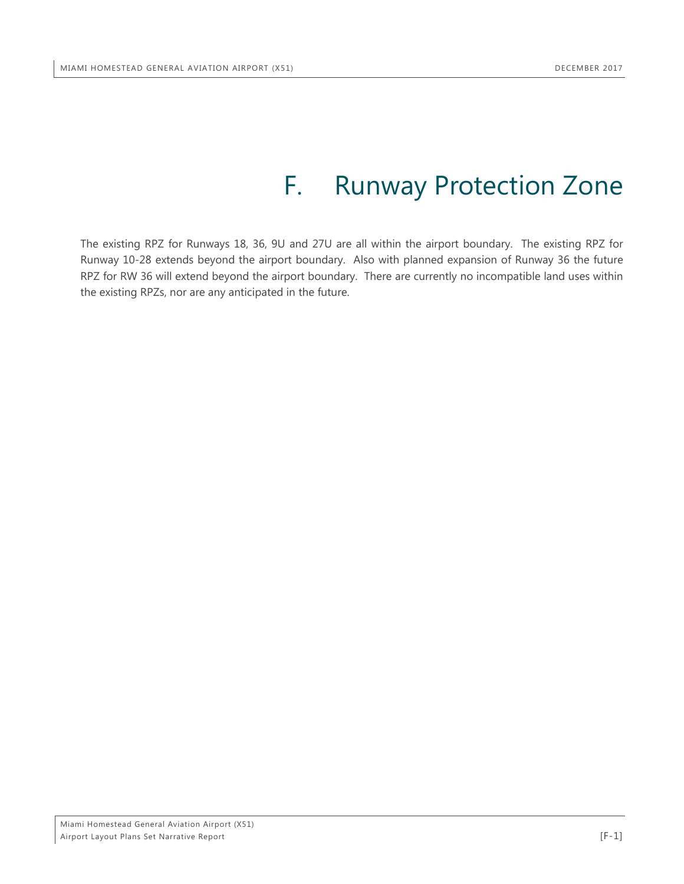## F. Runway Protection Zone

<span id="page-29-0"></span>The existing RPZ for Runways 18, 36, 9U and 27U are all within the airport boundary. The existing RPZ for Runway 10-28 extends beyond the airport boundary. Also with planned expansion of Runway 36 the future RPZ for RW 36 will extend beyond the airport boundary. There are currently no incompatible land uses within the existing RPZs, nor are any anticipated in the future.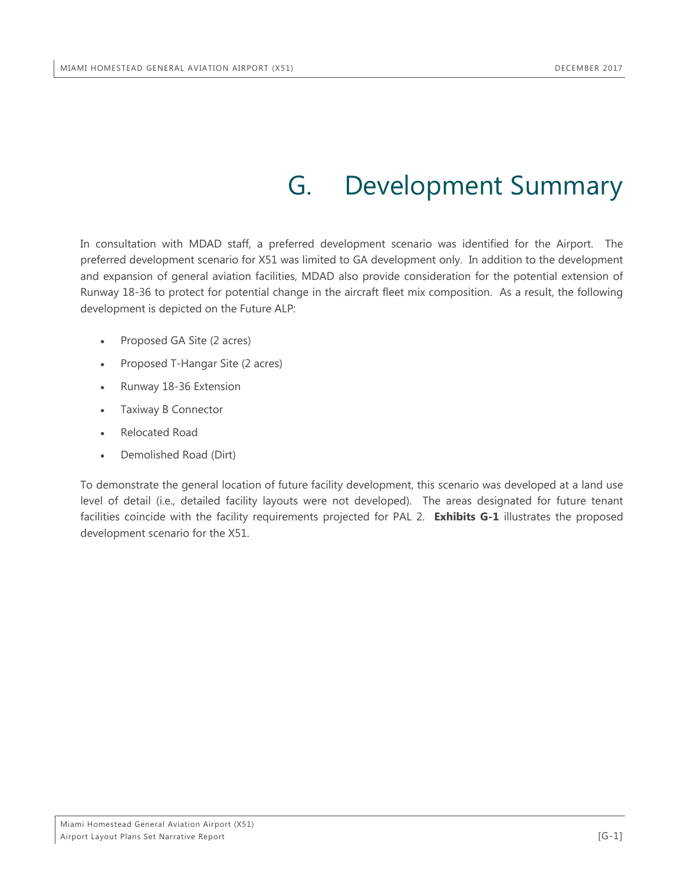## G. Development Summary

<span id="page-30-0"></span>In consultation with MDAD staff, a preferred development scenario was identified for the Airport. The preferred development scenario for X51 was limited to GA development only. In addition to the development and expansion of general aviation facilities, MDAD also provide consideration for the potential extension of Runway 18-36 to protect for potential change in the aircraft fleet mix composition. As a result, the following development is depicted on the Future ALP:

- Proposed GA Site (2 acres)
- Proposed T-Hangar Site (2 acres)
- Runway 18-36 Extension
- Taxiway B Connector
- Relocated Road
- Demolished Road (Dirt)

To demonstrate the general location of future facility development, this scenario was developed at a land use level of detail (i.e., detailed facility layouts were not developed). The areas designated for future tenant facilities coincide with the facility requirements projected for PAL 2. **Exhibits G-1** illustrates the proposed development scenario for the X51.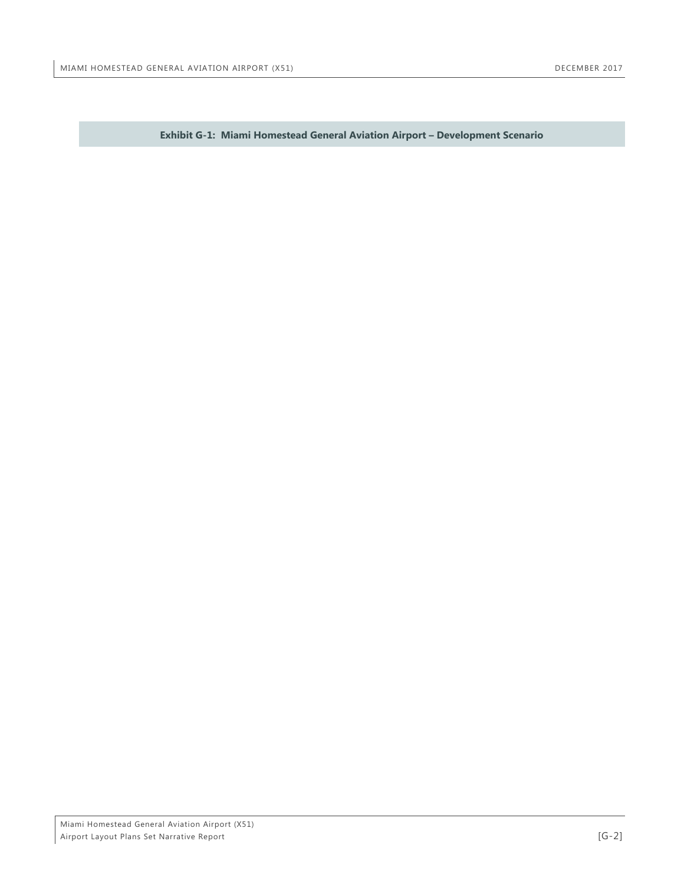<span id="page-31-0"></span>**Exhibit G-1: Miami Homestead General Aviation Airport – Development Scenario**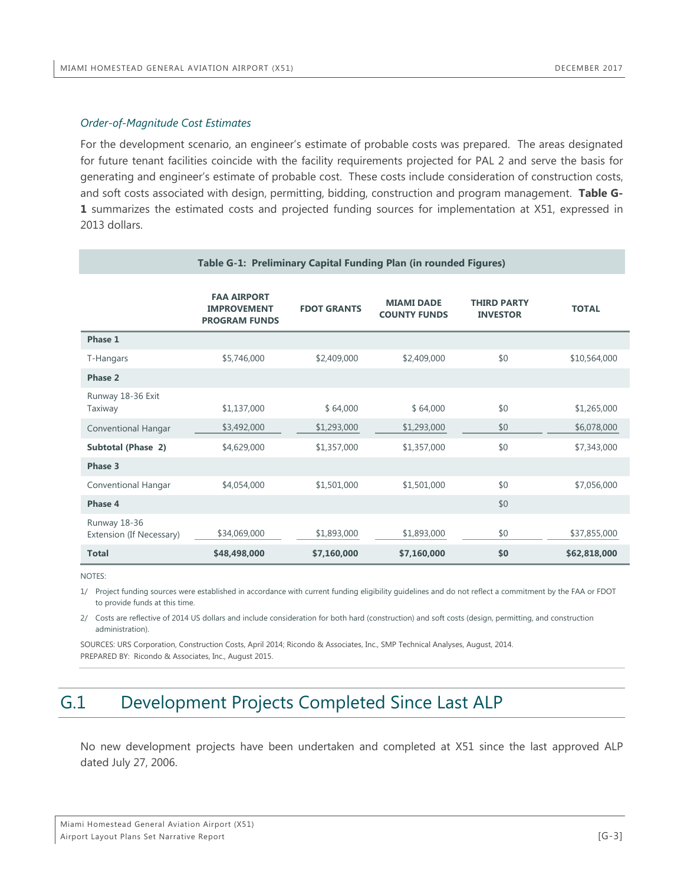#### *Order-of-Magnitude Cost Estimates*

For the development scenario, an engineer's estimate of probable costs was prepared. The areas designated for future tenant facilities coincide with the facility requirements projected for PAL 2 and serve the basis for generating and engineer's estimate of probable cost. These costs include consideration of construction costs, and soft costs associated with design, permitting, bidding, construction and program management. **Table G-1** summarizes the estimated costs and projected funding sources for implementation at X51, expressed in 2013 dollars.

<span id="page-32-1"></span>

| Table G-1: Preliminary Capital Funding Plan (in rounded Figures) |                                                                  |                    |                                          |                                       |              |  |  |
|------------------------------------------------------------------|------------------------------------------------------------------|--------------------|------------------------------------------|---------------------------------------|--------------|--|--|
|                                                                  | <b>FAA AIRPORT</b><br><b>IMPROVEMENT</b><br><b>PROGRAM FUNDS</b> | <b>FDOT GRANTS</b> | <b>MIAMI DADE</b><br><b>COUNTY FUNDS</b> | <b>THIRD PARTY</b><br><b>INVESTOR</b> | <b>TOTAL</b> |  |  |
| Phase 1                                                          |                                                                  |                    |                                          |                                       |              |  |  |
| T-Hangars                                                        | \$5,746,000                                                      | \$2,409,000        | \$2,409,000                              | \$0                                   | \$10,564,000 |  |  |
| Phase 2                                                          |                                                                  |                    |                                          |                                       |              |  |  |
| Runway 18-36 Exit<br>Taxiway                                     | \$1,137,000                                                      | \$64,000           | \$64,000                                 | \$0                                   | \$1,265,000  |  |  |
| <b>Conventional Hangar</b>                                       | \$3,492,000                                                      | \$1,293,000        | \$1,293,000                              | \$0                                   | \$6,078,000  |  |  |
| <b>Subtotal (Phase 2)</b>                                        | \$4,629,000                                                      | \$1,357,000        | \$1,357,000                              | \$0                                   | \$7,343,000  |  |  |
| Phase 3                                                          |                                                                  |                    |                                          |                                       |              |  |  |
| <b>Conventional Hangar</b>                                       | \$4,054,000                                                      | \$1,501,000        | \$1,501,000                              | \$0                                   | \$7,056,000  |  |  |
| Phase 4                                                          |                                                                  |                    |                                          | \$0                                   |              |  |  |
| Runway 18-36<br>Extension (If Necessary)                         | \$34,069,000                                                     | \$1,893,000        | \$1,893,000                              | \$0                                   | \$37,855,000 |  |  |
| <b>Total</b>                                                     | \$48,498,000                                                     | \$7,160,000        | \$7,160,000                              | \$0                                   | \$62,818,000 |  |  |

NOTES:

1/ Project funding sources were established in accordance with current funding eligibility guidelines and do not reflect a commitment by the FAA or FDOT to provide funds at this time.

2/ Costs are reflective of 2014 US dollars and include consideration for both hard (construction) and soft costs (design, permitting, and construction administration).

SOURCES: URS Corporation, Construction Costs, April 2014; Ricondo & Associates, Inc., SMP Technical Analyses, August, 2014. PREPARED BY: Ricondo & Associates, Inc., August 2015.

## <span id="page-32-0"></span>G.1 Development Projects Completed Since Last ALP

No new development projects have been undertaken and completed at X51 since the last approved ALP dated July 27, 2006.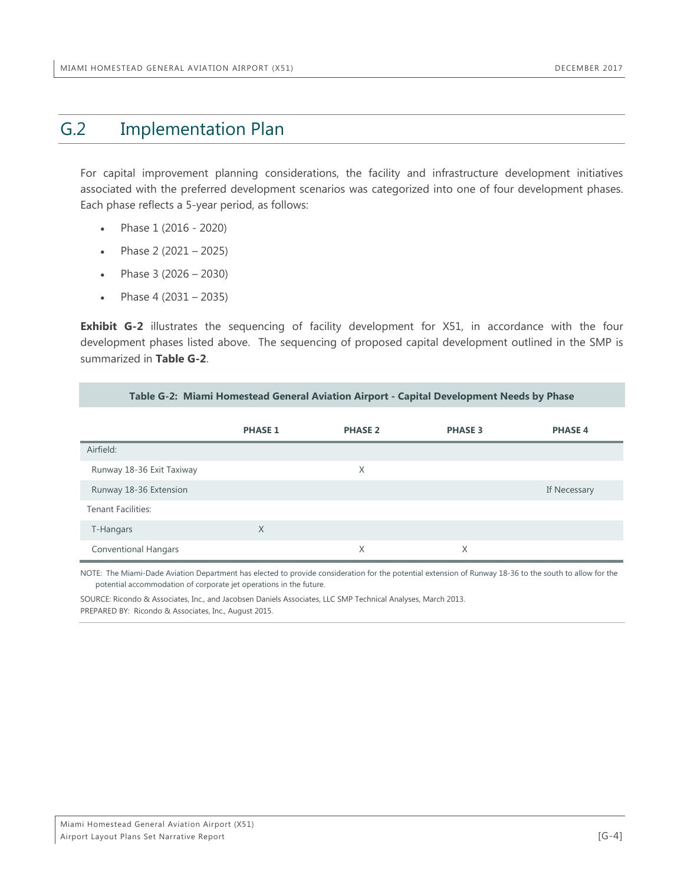## <span id="page-33-0"></span>G.2 Implementation Plan

For capital improvement planning considerations, the facility and infrastructure development initiatives associated with the preferred development scenarios was categorized into one of four development phases. Each phase reflects a 5-year period, as follows:

- Phase 1 (2016 2020)
- Phase 2 (2021 2025)
- Phase  $3(2026 2030)$
- Phase  $4(2031 2035)$

**Exhibit G-2** illustrates the sequencing of facility development for X51, in accordance with the four development phases listed above. The sequencing of proposed capital development outlined in the SMP is summarized in **Table G-2**.

**Table G-2: Miami Homestead General Aviation Airport - Capital Development Needs by Phase**

<span id="page-33-1"></span>

|                             | <b>PHASE 1</b> | <b>PHASE 2</b> | <b>PHASE 3</b> | <b>PHASE 4</b> |
|-----------------------------|----------------|----------------|----------------|----------------|
| Airfield:                   |                |                |                |                |
| Runway 18-36 Exit Taxiway   |                | X              |                |                |
| Runway 18-36 Extension      |                |                |                | If Necessary   |
| <b>Tenant Facilities:</b>   |                |                |                |                |
| T-Hangars                   | X              |                |                |                |
| <b>Conventional Hangars</b> |                | X              | X              |                |

NOTE: The Miami-Dade Aviation Department has elected to provide consideration for the potential extension of Runway 18-36 to the south to allow for the potential accommodation of corporate jet operations in the future.

SOURCE: Ricondo & Associates, Inc., and Jacobsen Daniels Associates, LLC SMP Technical Analyses, March 2013. PREPARED BY: Ricondo & Associates, Inc., August 2015.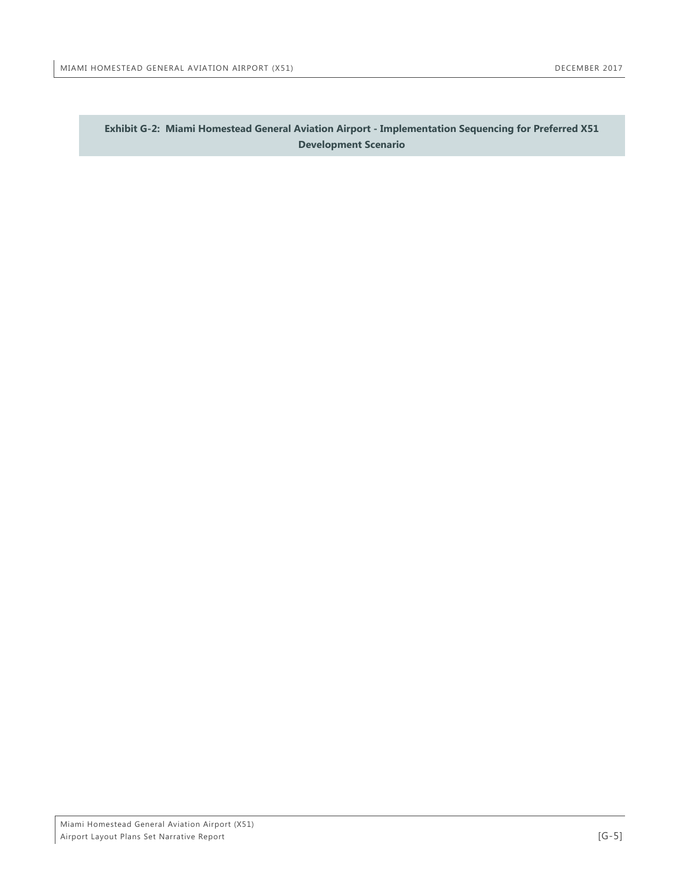<span id="page-34-0"></span>**Exhibit G-2: Miami Homestead General Aviation Airport - Implementation Sequencing for Preferred X51 Development Scenario**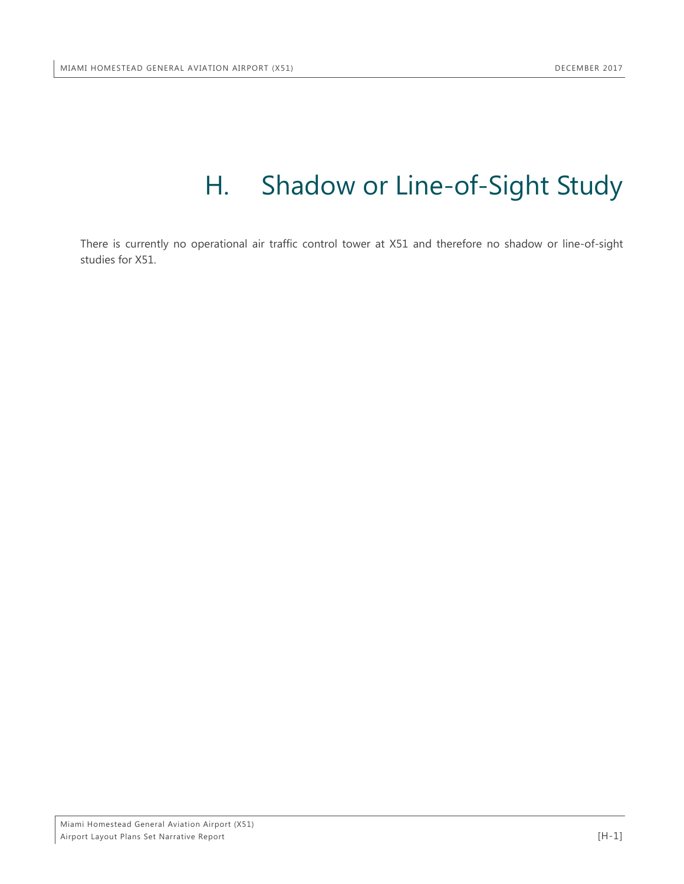## H. Shadow or Line-of-Sight Study

<span id="page-35-0"></span>There is currently no operational air traffic control tower at X51 and therefore no shadow or line-of-sight studies for X51.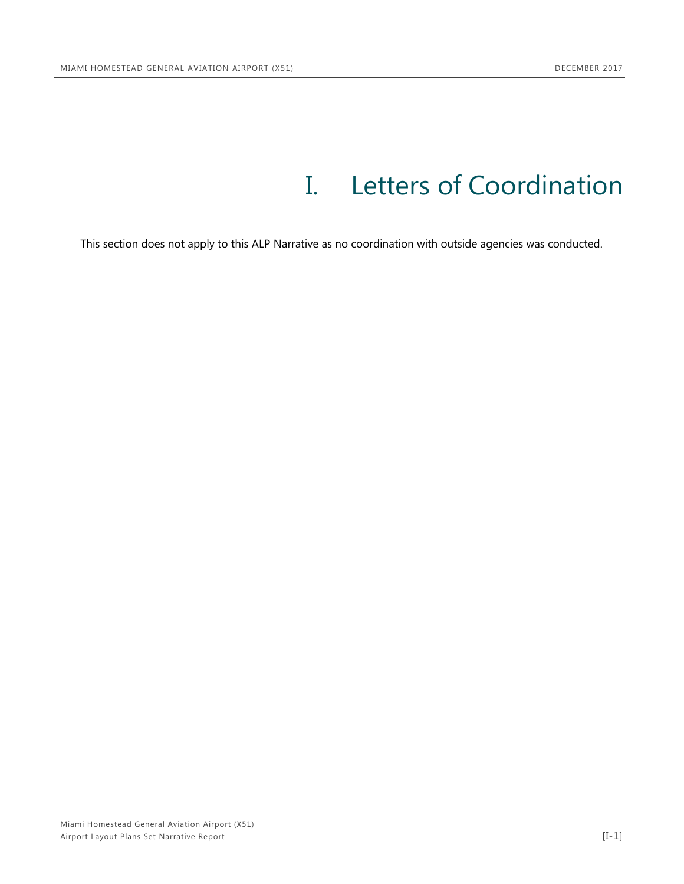## I. Letters of Coordination

<span id="page-36-0"></span>This section does not apply to this ALP Narrative as no coordination with outside agencies was conducted.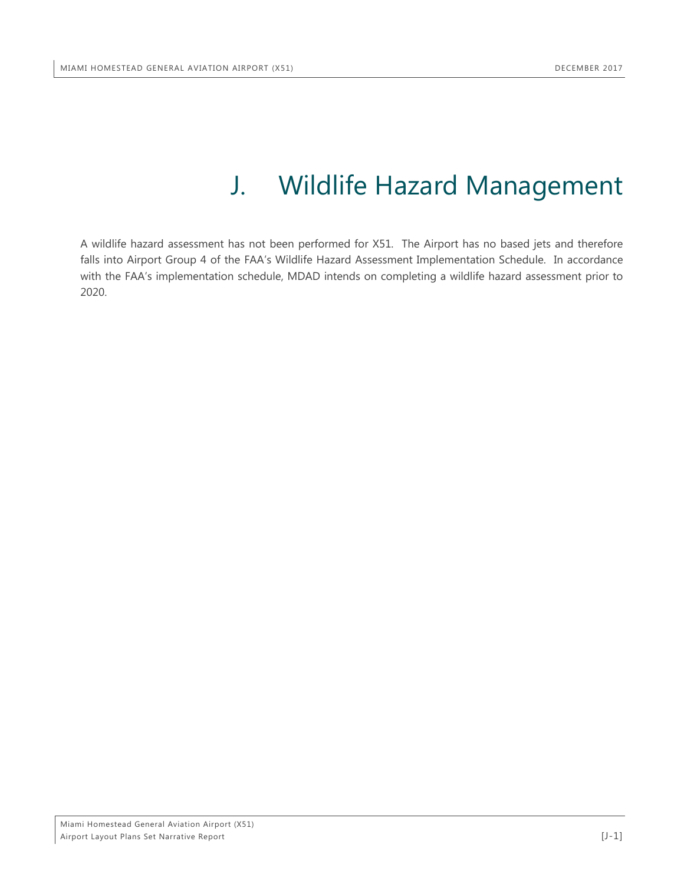## J. Wildlife Hazard Management

<span id="page-37-0"></span>A wildlife hazard assessment has not been performed for X51. The Airport has no based jets and therefore falls into Airport Group 4 of the FAA's Wildlife Hazard Assessment Implementation Schedule. In accordance with the FAA's implementation schedule, MDAD intends on completing a wildlife hazard assessment prior to 2020.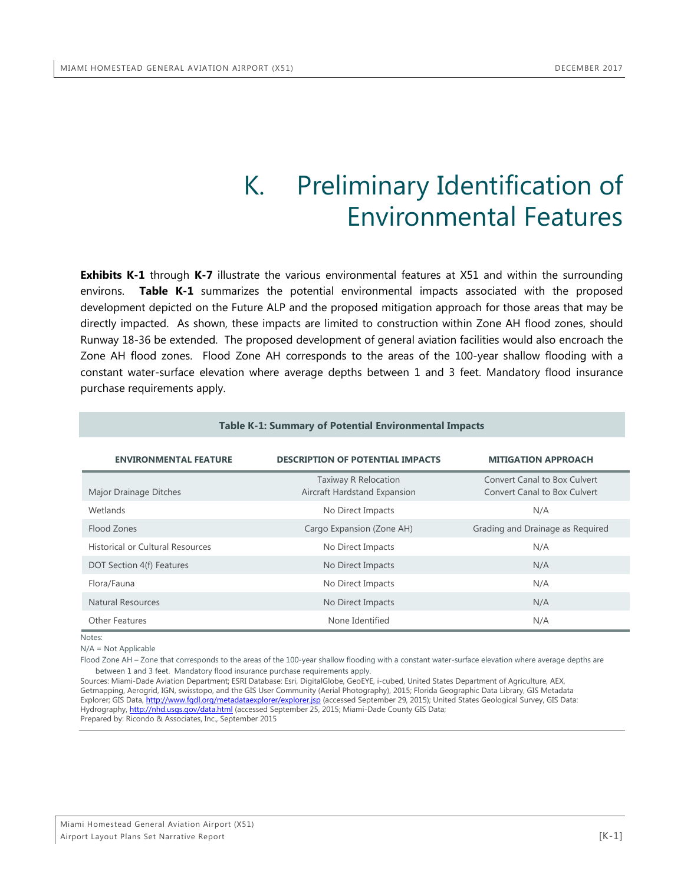## K. Preliminary Identification of Environmental Features

<span id="page-38-0"></span>**Exhibits K-1** through **K-7** illustrate the various environmental features at X51 and within the surrounding environs. **Table K-1** summarizes the potential environmental impacts associated with the proposed development depicted on the Future ALP and the proposed mitigation approach for those areas that may be directly impacted. As shown, these impacts are limited to construction within Zone AH flood zones, should Runway 18-36 be extended. The proposed development of general aviation facilities would also encroach the Zone AH flood zones. Flood Zone AH corresponds to the areas of the 100-year shallow flooding with a constant water-surface elevation where average depths between 1 and 3 feet. Mandatory flood insurance purchase requirements apply.

<span id="page-38-1"></span>

| Table K-1: Summary of Potential Environmental Impacts                                                 |                                                      |                                                                     |  |  |  |  |  |  |
|-------------------------------------------------------------------------------------------------------|------------------------------------------------------|---------------------------------------------------------------------|--|--|--|--|--|--|
| <b>DESCRIPTION OF POTENTIAL IMPACTS</b><br><b>ENVIRONMENTAL FEATURE</b><br><b>MITIGATION APPROACH</b> |                                                      |                                                                     |  |  |  |  |  |  |
| Major Drainage Ditches                                                                                | Taxiway R Relocation<br>Aircraft Hardstand Expansion | <b>Convert Canal to Box Culvert</b><br>Convert Canal to Box Culvert |  |  |  |  |  |  |
| Wetlands                                                                                              | No Direct Impacts                                    | N/A                                                                 |  |  |  |  |  |  |
| Flood Zones                                                                                           | Cargo Expansion (Zone AH)                            | Grading and Drainage as Required                                    |  |  |  |  |  |  |
| <b>Historical or Cultural Resources</b>                                                               | No Direct Impacts                                    | N/A                                                                 |  |  |  |  |  |  |
| DOT Section 4(f) Features                                                                             | No Direct Impacts                                    | N/A                                                                 |  |  |  |  |  |  |
| Flora/Fauna                                                                                           | No Direct Impacts                                    | N/A                                                                 |  |  |  |  |  |  |
| Natural Resources                                                                                     | No Direct Impacts                                    | N/A                                                                 |  |  |  |  |  |  |
| <b>Other Features</b>                                                                                 | None Identified                                      | N/A                                                                 |  |  |  |  |  |  |

Notes:

N/A = Not Applicable

Flood Zone AH – Zone that corresponds to the areas of the 100-year shallow flooding with a constant water-surface elevation where average depths are between 1 and 3 feet. Mandatory flood insurance purchase requirements apply.

Sources: Miami-Dade Aviation Department; ESRI Database: Esri, DigitalGlobe, GeoEYE, i-cubed, United States Department of Agriculture, AEX, Getmapping, Aerogrid, IGN, swisstopo, and the GIS User Community (Aerial Photography), 2015; Florida Geographic Data Library, GIS Metadata Explorer; GIS Data,<http://www.fgdl.org/metadataexplorer/explorer.jsp> (accessed September 29, 2015); United States Geological Survey, GIS Data: Hydrography[, http://nhd.usgs.gov/data.html](http://nhd.usgs.gov/data.html) (accessed September 25, 2015; Miami-Dade County GIS Data; Prepared by: Ricondo & Associates, Inc., September 2015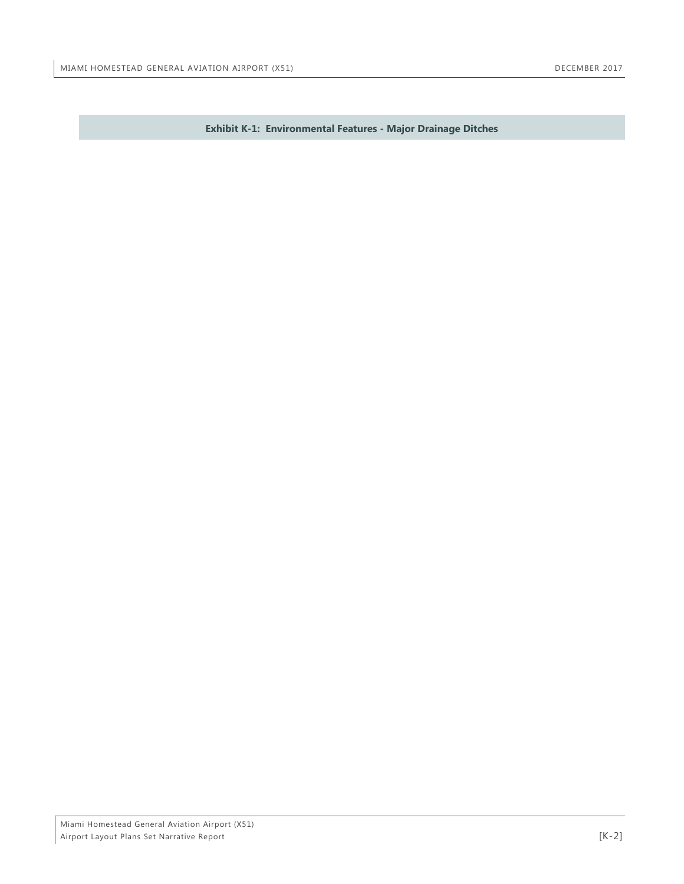<span id="page-39-0"></span>**Exhibit K-1: Environmental Features - Major Drainage Ditches**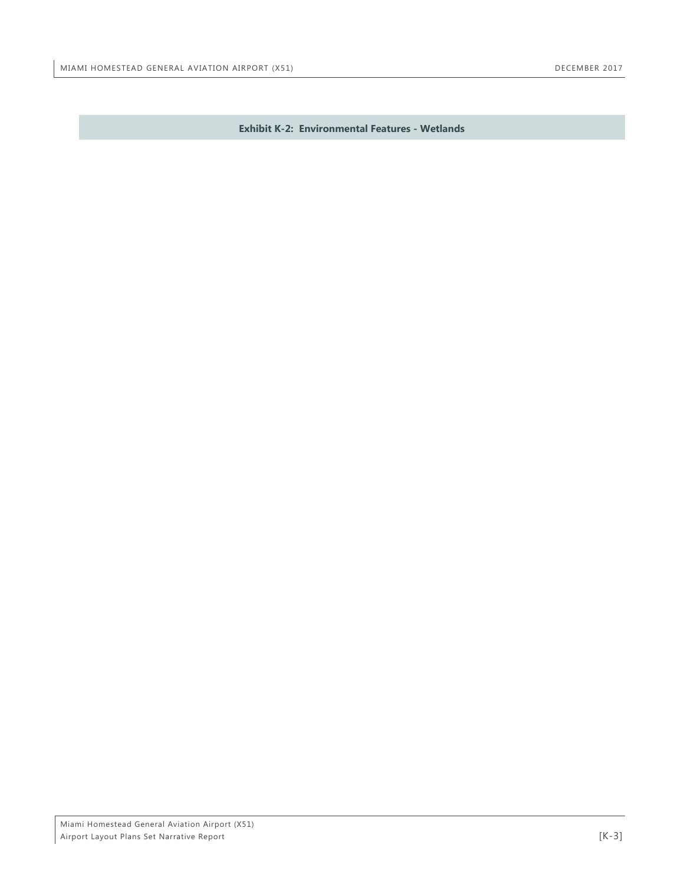<span id="page-40-0"></span>**Exhibit K-2: Environmental Features - Wetlands**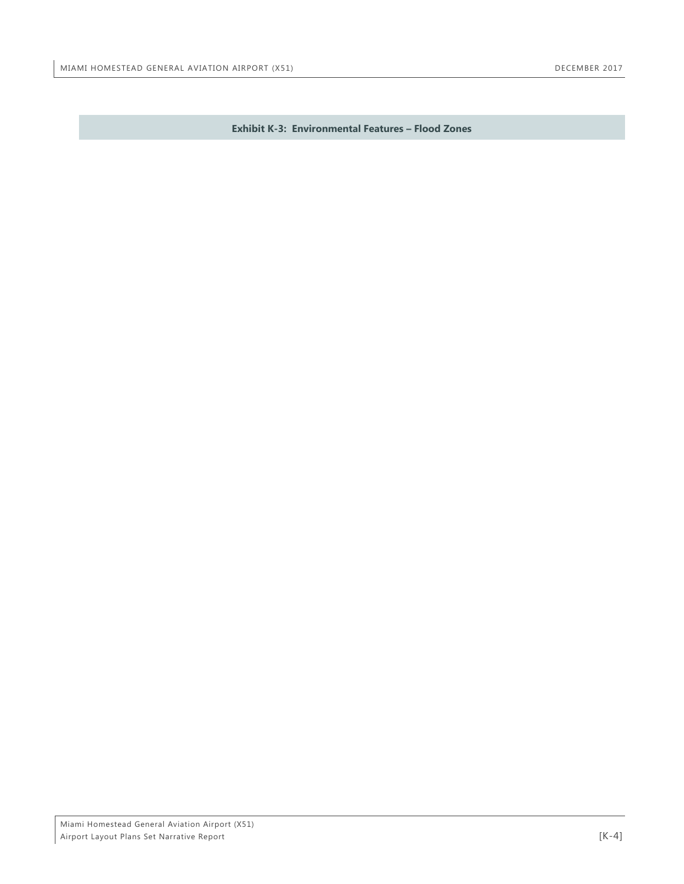<span id="page-41-0"></span>**Exhibit K-3: Environmental Features – Flood Zones**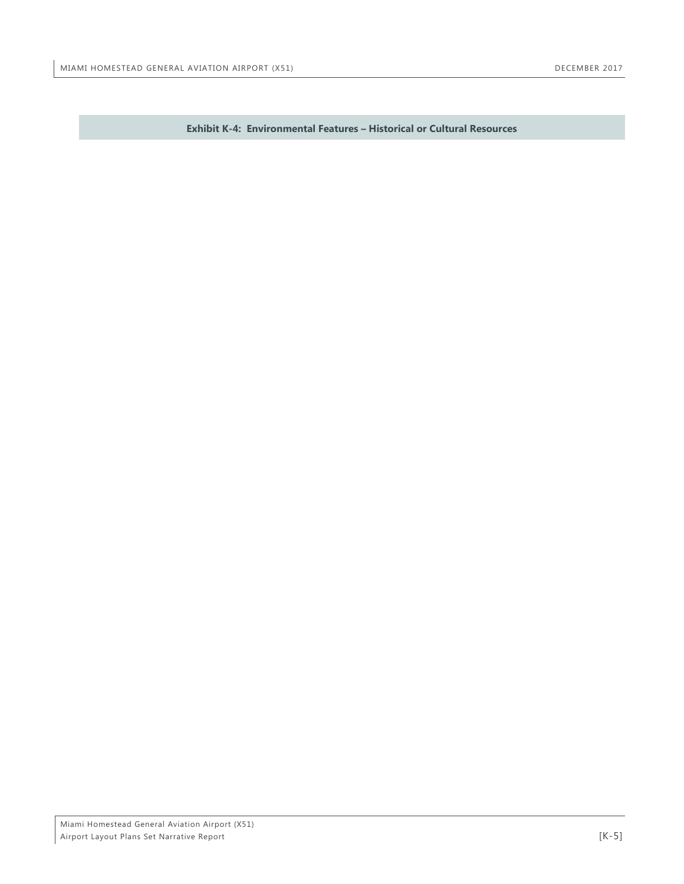<span id="page-42-0"></span>**Exhibit K-4: Environmental Features – Historical or Cultural Resources**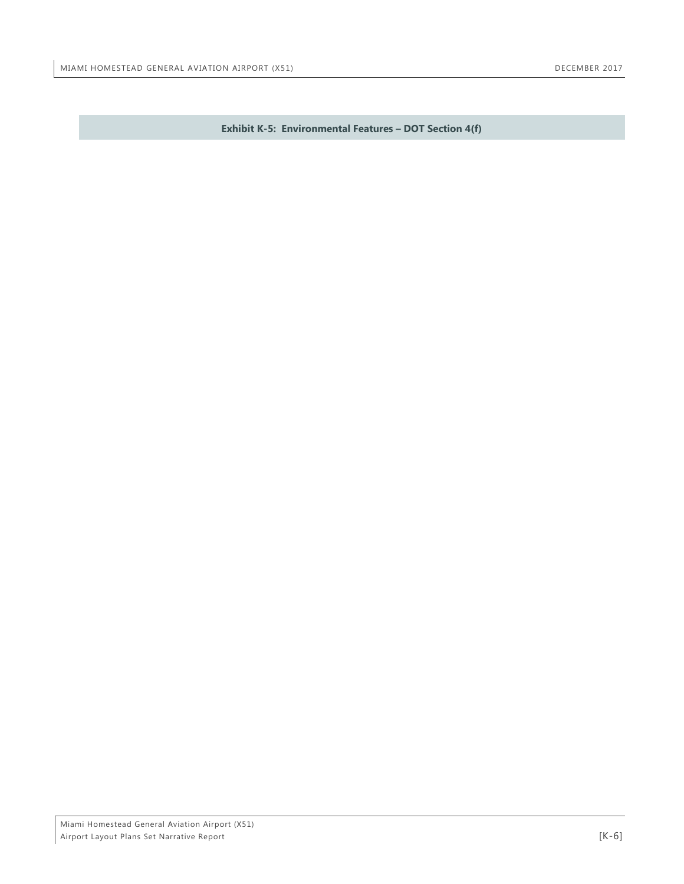<span id="page-43-0"></span>**Exhibit K-5: Environmental Features – DOT Section 4(f)**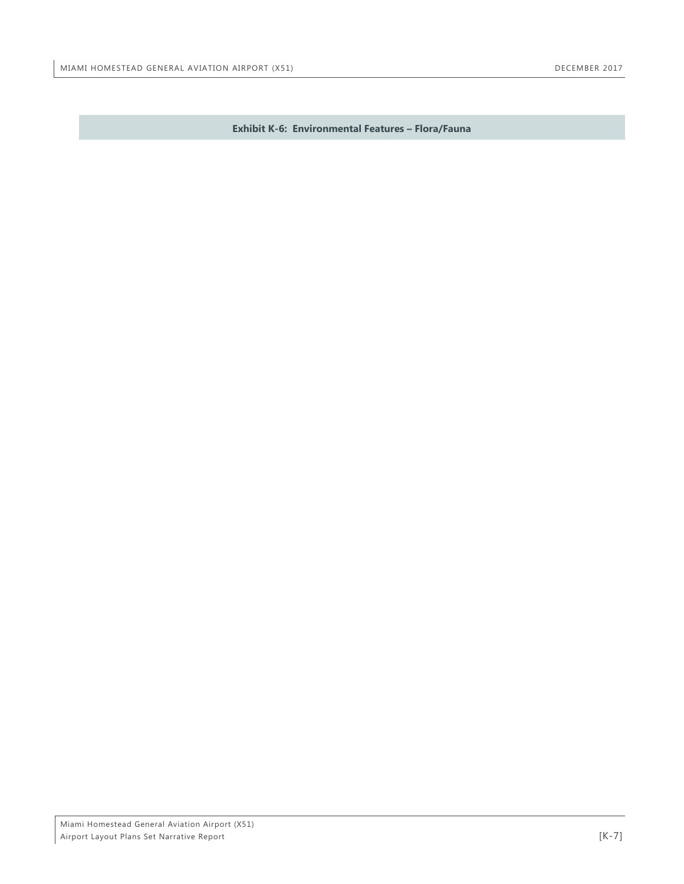<span id="page-44-0"></span>**Exhibit K-6: Environmental Features – Flora/Fauna**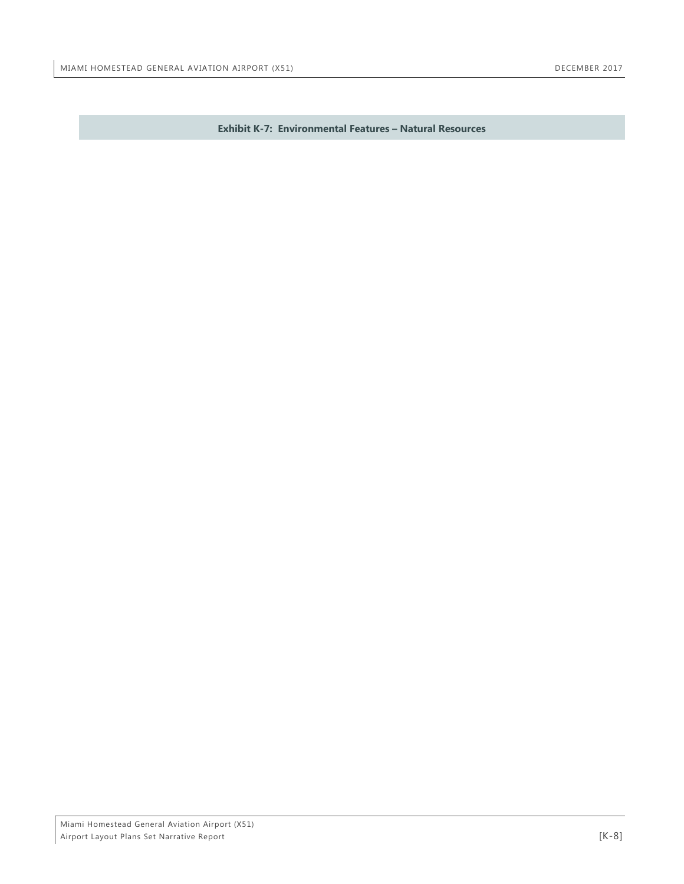<span id="page-45-0"></span>**Exhibit K-7: Environmental Features – Natural Resources**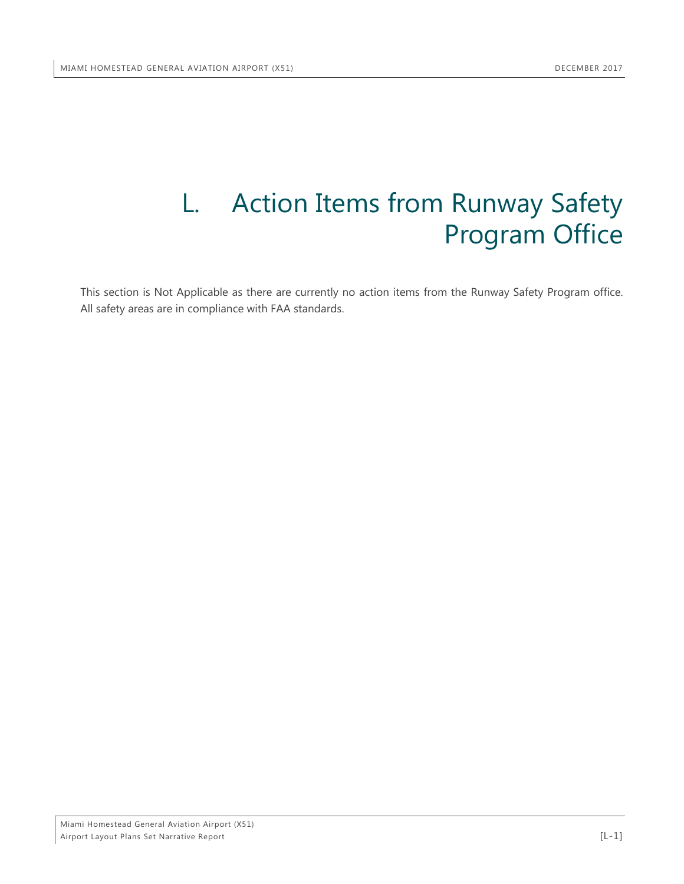## <span id="page-46-0"></span>L. Action Items from Runway Safety Program Office

This section is Not Applicable as there are currently no action items from the Runway Safety Program office. All safety areas are in compliance with FAA standards.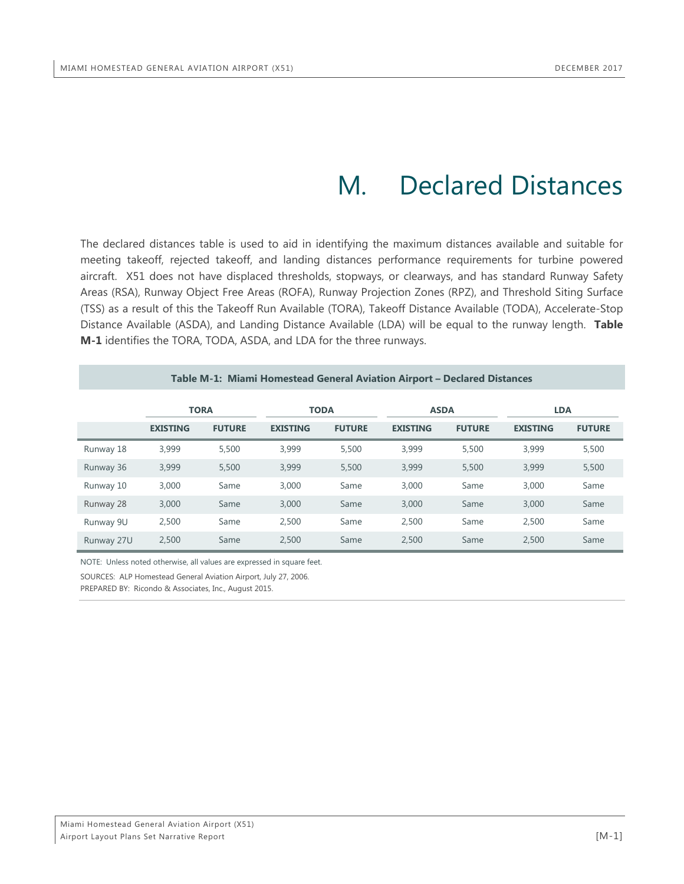## M. Declared Distances

<span id="page-47-0"></span>The declared distances table is used to aid in identifying the maximum distances available and suitable for meeting takeoff, rejected takeoff, and landing distances performance requirements for turbine powered aircraft. X51 does not have displaced thresholds, stopways, or clearways, and has standard Runway Safety Areas (RSA), Runway Object Free Areas (ROFA), Runway Projection Zones (RPZ), and Threshold Siting Surface (TSS) as a result of this the Takeoff Run Available (TORA), Takeoff Distance Available (TODA), Accelerate-Stop Distance Available (ASDA), and Landing Distance Available (LDA) will be equal to the runway length. **Table M-1** identifies the TORA, TODA, ASDA, and LDA for the three runways.

<span id="page-47-1"></span>

|            |                 |               |                 |               | Table M-1: Miami Homestead General Aviation Airport – Declared Distances |               |                 |               |
|------------|-----------------|---------------|-----------------|---------------|--------------------------------------------------------------------------|---------------|-----------------|---------------|
|            |                 | <b>TORA</b>   |                 | <b>TODA</b>   | <b>ASDA</b>                                                              |               | <b>LDA</b>      |               |
|            | <b>EXISTING</b> | <b>FUTURE</b> | <b>EXISTING</b> | <b>FUTURE</b> | <b>EXISTING</b>                                                          | <b>FUTURE</b> | <b>EXISTING</b> | <b>FUTURE</b> |
| Runway 18  | 3,999           | 5,500         | 3,999           | 5,500         | 3.999                                                                    | 5,500         | 3,999           | 5,500         |
| Runway 36  | 3,999           | 5,500         | 3,999           | 5,500         | 3.999                                                                    | 5,500         | 3,999           | 5,500         |
| Runway 10  | 3,000           | Same          | 3,000           | Same          | 3,000                                                                    | Same          | 3,000           | Same          |
| Runway 28  | 3,000           | Same          | 3,000           | Same          | 3,000                                                                    | Same          | 3,000           | Same          |
| Runway 9U  | 2,500           | Same          | 2,500           | Same          | 2.500                                                                    | Same          | 2.500           | Same          |
| Runway 27U | 2.500           | Same          | 2,500           | Same          | 2.500                                                                    | Same          | 2.500           | Same          |

NOTE: Unless noted otherwise, all values are expressed in square feet.

SOURCES: ALP Homestead General Aviation Airport, July 27, 2006.

PREPARED BY: Ricondo & Associates, Inc., August 2015.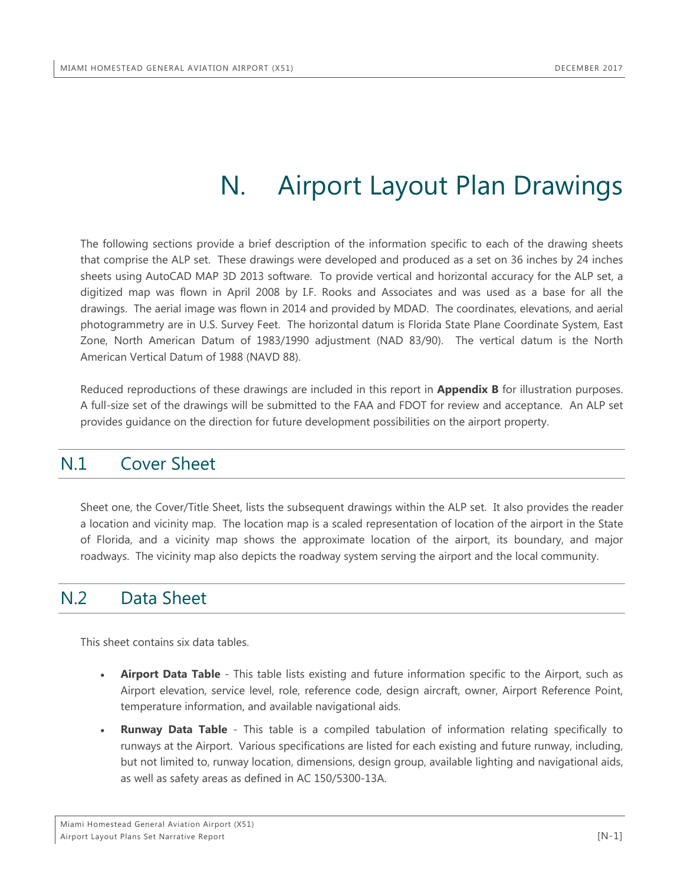## N. Airport Layout Plan Drawings

<span id="page-48-0"></span>The following sections provide a brief description of the information specific to each of the drawing sheets that comprise the ALP set. These drawings were developed and produced as a set on 36 inches by 24 inches sheets using AutoCAD MAP 3D 2013 software. To provide vertical and horizontal accuracy for the ALP set, a digitized map was flown in April 2008 by I.F. Rooks and Associates and was used as a base for all the drawings. The aerial image was flown in 2014 and provided by MDAD. The coordinates, elevations, and aerial photogrammetry are in U.S. Survey Feet. The horizontal datum is Florida State Plane Coordinate System, East Zone, North American Datum of 1983/1990 adjustment (NAD 83/90). The vertical datum is the North American Vertical Datum of 1988 (NAVD 88).

Reduced reproductions of these drawings are included in this report in **Appendix B** for illustration purposes. A full-size set of the drawings will be submitted to the FAA and FDOT for review and acceptance. An ALP set provides guidance on the direction for future development possibilities on the airport property.

### <span id="page-48-1"></span>N.1 Cover Sheet

Sheet one, the Cover/Title Sheet, lists the subsequent drawings within the ALP set. It also provides the reader a location and vicinity map. The location map is a scaled representation of location of the airport in the State of Florida, and a vicinity map shows the approximate location of the airport, its boundary, and major roadways. The vicinity map also depicts the roadway system serving the airport and the local community.

### <span id="page-48-2"></span>N.2 Data Sheet

This sheet contains six data tables.

- **Airport Data Table** This table lists existing and future information specific to the Airport, such as Airport elevation, service level, role, reference code, design aircraft, owner, Airport Reference Point, temperature information, and available navigational aids.
- **Runway Data Table** This table is a compiled tabulation of information relating specifically to runways at the Airport. Various specifications are listed for each existing and future runway, including, but not limited to, runway location, dimensions, design group, available lighting and navigational aids, as well as safety areas as defined in AC 150/5300-13A.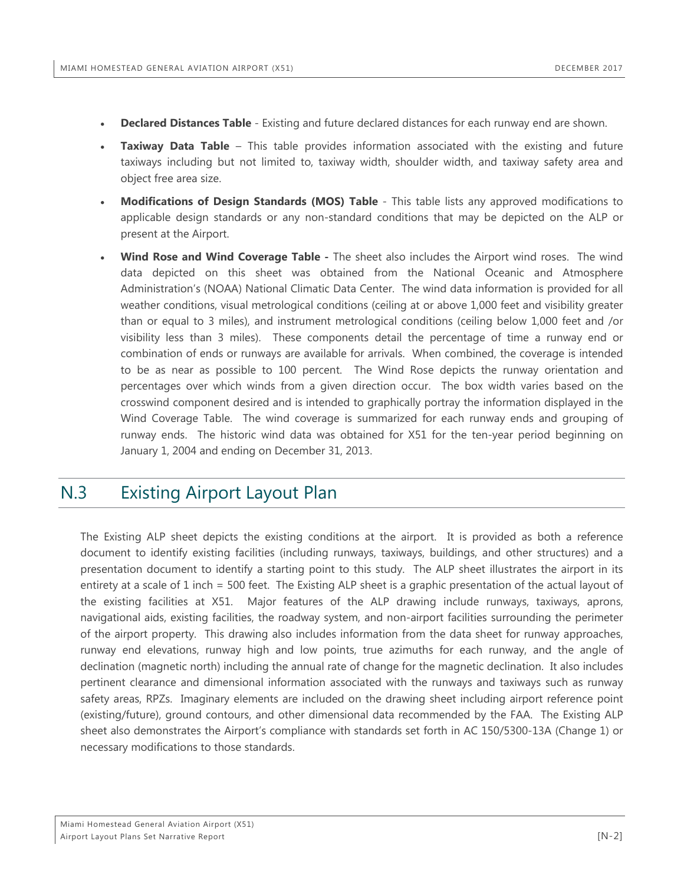- **Declared Distances Table** Existing and future declared distances for each runway end are shown.
- **Taxiway Data Table** This table provides information associated with the existing and future taxiways including but not limited to, taxiway width, shoulder width, and taxiway safety area and object free area size.
- **Modifications of Design Standards (MOS) Table** This table lists any approved modifications to applicable design standards or any non-standard conditions that may be depicted on the ALP or present at the Airport.
- **Wind Rose and Wind Coverage Table -** The sheet also includes the Airport wind roses. The wind data depicted on this sheet was obtained from the National Oceanic and Atmosphere Administration's (NOAA) National Climatic Data Center. The wind data information is provided for all weather conditions, visual metrological conditions (ceiling at or above 1,000 feet and visibility greater than or equal to 3 miles), and instrument metrological conditions (ceiling below 1,000 feet and /or visibility less than 3 miles). These components detail the percentage of time a runway end or combination of ends or runways are available for arrivals. When combined, the coverage is intended to be as near as possible to 100 percent. The Wind Rose depicts the runway orientation and percentages over which winds from a given direction occur. The box width varies based on the crosswind component desired and is intended to graphically portray the information displayed in the Wind Coverage Table. The wind coverage is summarized for each runway ends and grouping of runway ends. The historic wind data was obtained for X51 for the ten-year period beginning on January 1, 2004 and ending on December 31, 2013.

## <span id="page-49-0"></span>N.3 Existing Airport Layout Plan

The Existing ALP sheet depicts the existing conditions at the airport. It is provided as both a reference document to identify existing facilities (including runways, taxiways, buildings, and other structures) and a presentation document to identify a starting point to this study. The ALP sheet illustrates the airport in its entirety at a scale of 1 inch = 500 feet. The Existing ALP sheet is a graphic presentation of the actual layout of the existing facilities at X51. Major features of the ALP drawing include runways, taxiways, aprons, navigational aids, existing facilities, the roadway system, and non-airport facilities surrounding the perimeter of the airport property. This drawing also includes information from the data sheet for runway approaches, runway end elevations, runway high and low points, true azimuths for each runway, and the angle of declination (magnetic north) including the annual rate of change for the magnetic declination. It also includes pertinent clearance and dimensional information associated with the runways and taxiways such as runway safety areas, RPZs. Imaginary elements are included on the drawing sheet including airport reference point (existing/future), ground contours, and other dimensional data recommended by the FAA. The Existing ALP sheet also demonstrates the Airport's compliance with standards set forth in AC 150/5300-13A (Change 1) or necessary modifications to those standards.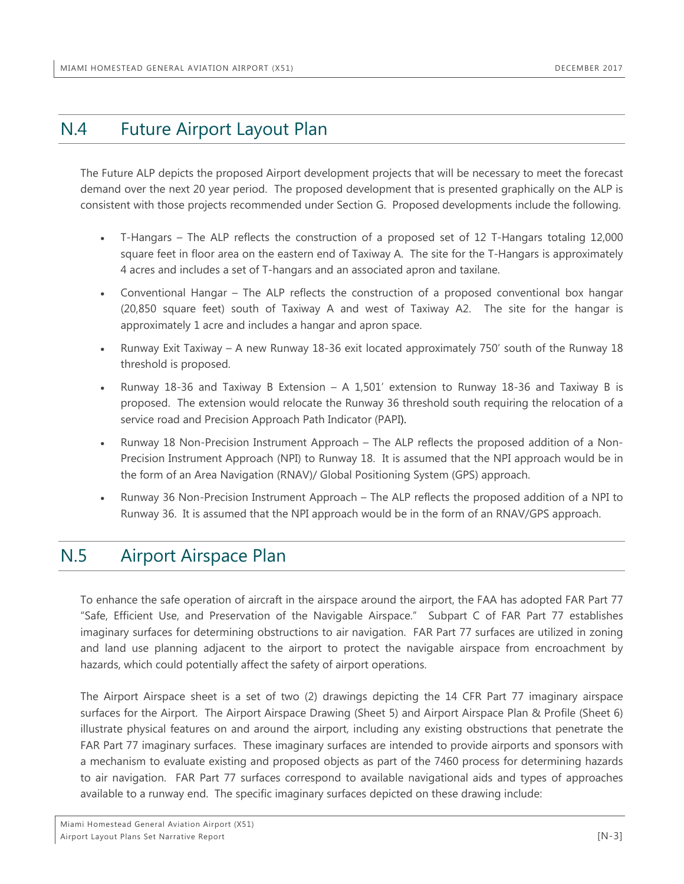## <span id="page-50-0"></span>N.4 Future Airport Layout Plan

The Future ALP depicts the proposed Airport development projects that will be necessary to meet the forecast demand over the next 20 year period. The proposed development that is presented graphically on the ALP is consistent with those projects recommended under Section G. Proposed developments include the following.

- T-Hangars The ALP reflects the construction of a proposed set of 12 T-Hangars totaling 12,000 square feet in floor area on the eastern end of Taxiway A. The site for the T-Hangars is approximately 4 acres and includes a set of T-hangars and an associated apron and taxilane.
- Conventional Hangar The ALP reflects the construction of a proposed conventional box hangar (20,850 square feet) south of Taxiway A and west of Taxiway A2. The site for the hangar is approximately 1 acre and includes a hangar and apron space.
- Runway Exit Taxiway A new Runway 18-36 exit located approximately 750' south of the Runway 18 threshold is proposed.
- Runway 18-36 and Taxiway B Extension A 1,501' extension to Runway 18-36 and Taxiway B is proposed. The extension would relocate the Runway 36 threshold south requiring the relocation of a service road and Precision Approach Path Indicator (PAPI).
- Runway 18 Non-Precision Instrument Approach The ALP reflects the proposed addition of a Non-Precision Instrument Approach (NPI) to Runway 18. It is assumed that the NPI approach would be in the form of an Area Navigation (RNAV)/ Global Positioning System (GPS) approach.
- Runway 36 Non-Precision Instrument Approach The ALP reflects the proposed addition of a NPI to Runway 36. It is assumed that the NPI approach would be in the form of an RNAV/GPS approach.

## <span id="page-50-1"></span>N.5 Airport Airspace Plan

To enhance the safe operation of aircraft in the airspace around the airport, the FAA has adopted FAR Part 77 "Safe, Efficient Use, and Preservation of the Navigable Airspace." Subpart C of FAR Part 77 establishes imaginary surfaces for determining obstructions to air navigation. FAR Part 77 surfaces are utilized in zoning and land use planning adjacent to the airport to protect the navigable airspace from encroachment by hazards, which could potentially affect the safety of airport operations.

The Airport Airspace sheet is a set of two (2) drawings depicting the 14 CFR Part 77 imaginary airspace surfaces for the Airport. The Airport Airspace Drawing (Sheet 5) and Airport Airspace Plan & Profile (Sheet 6) illustrate physical features on and around the airport, including any existing obstructions that penetrate the FAR Part 77 imaginary surfaces. These imaginary surfaces are intended to provide airports and sponsors with a mechanism to evaluate existing and proposed objects as part of the 7460 process for determining hazards to air navigation. FAR Part 77 surfaces correspond to available navigational aids and types of approaches available to a runway end. The specific imaginary surfaces depicted on these drawing include: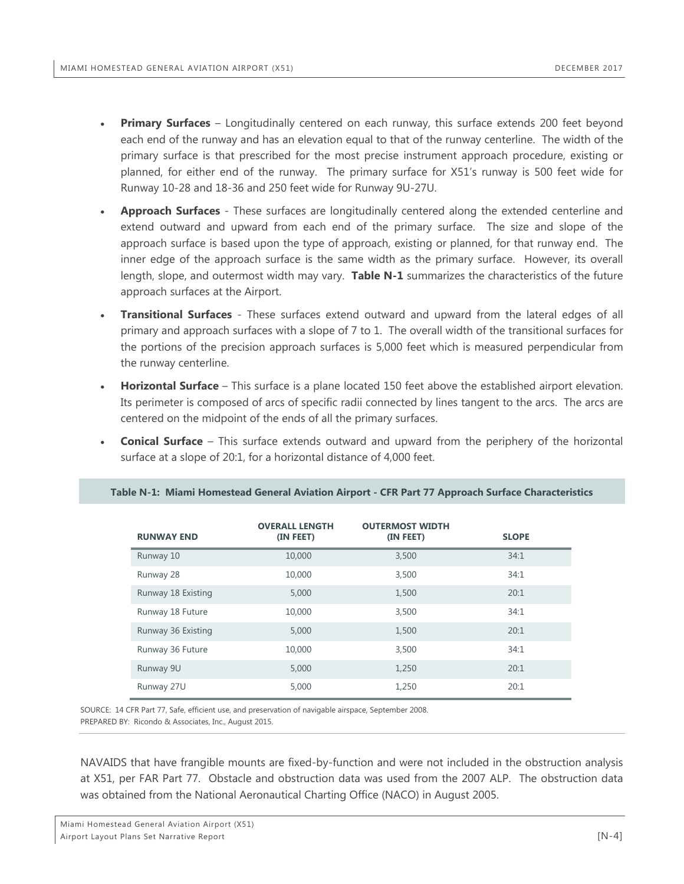- **Primary Surfaces** Longitudinally centered on each runway, this surface extends 200 feet beyond each end of the runway and has an elevation equal to that of the runway centerline. The width of the primary surface is that prescribed for the most precise instrument approach procedure, existing or planned, for either end of the runway. The primary surface for X51's runway is 500 feet wide for Runway 10-28 and 18-36 and 250 feet wide for Runway 9U-27U.
- **Approach Surfaces** These surfaces are longitudinally centered along the extended centerline and extend outward and upward from each end of the primary surface. The size and slope of the approach surface is based upon the type of approach, existing or planned, for that runway end. The inner edge of the approach surface is the same width as the primary surface. However, its overall length, slope, and outermost width may vary. **Table N-1** summarizes the characteristics of the future approach surfaces at the Airport.
- **Transitional Surfaces** These surfaces extend outward and upward from the lateral edges of all primary and approach surfaces with a slope of 7 to 1. The overall width of the transitional surfaces for the portions of the precision approach surfaces is 5,000 feet which is measured perpendicular from the runway centerline.
- **Horizontal Surface** This surface is a plane located 150 feet above the established airport elevation. Its perimeter is composed of arcs of specific radii connected by lines tangent to the arcs. The arcs are centered on the midpoint of the ends of all the primary surfaces.
- **Conical Surface** This surface extends outward and upward from the periphery of the horizontal surface at a slope of 20:1, for a horizontal distance of 4,000 feet.

| <b>RUNWAY END</b>  | <b>OVERALL LENGTH</b><br>(IN FEET) | <b>OUTERMOST WIDTH</b><br>(IN FEET) | <b>SLOPE</b> |
|--------------------|------------------------------------|-------------------------------------|--------------|
| Runway 10          | 10,000                             | 3,500                               | 34:1         |
| Runway 28          | 10,000                             | 3,500                               | 34:1         |
| Runway 18 Existing | 5,000                              | 1,500                               | 20:1         |
| Runway 18 Future   | 10,000                             | 3,500                               | 34:1         |
| Runway 36 Existing | 5,000                              | 1,500                               | 20:1         |
| Runway 36 Future   | 10,000                             | 3,500                               | 34:1         |
| Runway 9U          | 5,000                              | 1,250                               | 20:1         |
| Runway 27U         | 5,000                              | 1,250                               | 20:1         |

#### <span id="page-51-0"></span>**Table N-1: Miami Homestead General Aviation Airport - CFR Part 77 Approach Surface Characteristics**

SOURCE: 14 CFR Part 77, Safe, efficient use, and preservation of navigable airspace, September 2008. PREPARED BY: Ricondo & Associates, Inc., August 2015.

NAVAIDS that have frangible mounts are fixed-by-function and were not included in the obstruction analysis at X51, per FAR Part 77. Obstacle and obstruction data was used from the 2007 ALP. The obstruction data was obtained from the National Aeronautical Charting Office (NACO) in August 2005.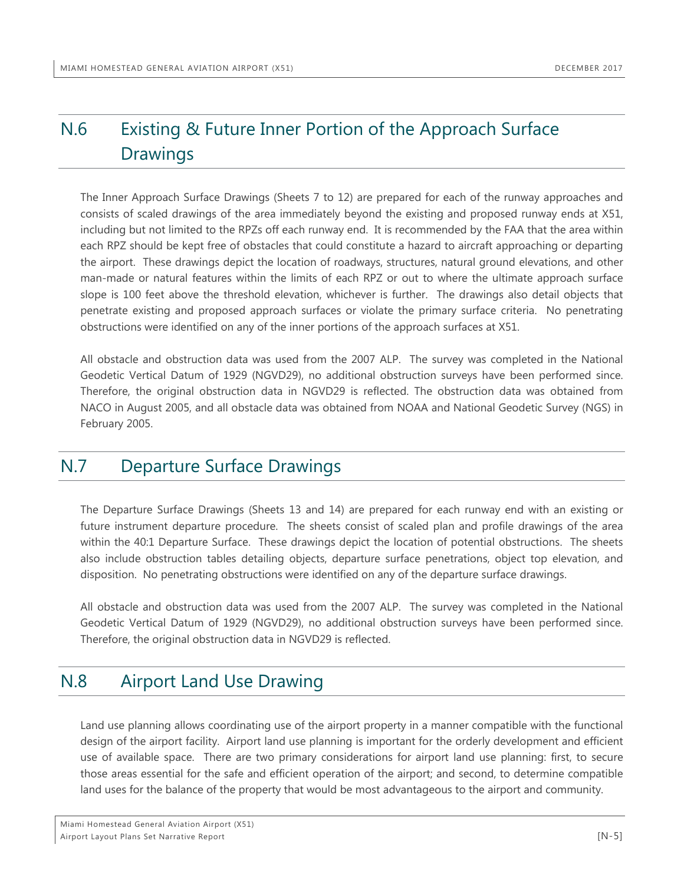## <span id="page-52-0"></span>N.6 Existing & Future Inner Portion of the Approach Surface **Drawings**

The Inner Approach Surface Drawings (Sheets 7 to 12) are prepared for each of the runway approaches and consists of scaled drawings of the area immediately beyond the existing and proposed runway ends at X51, including but not limited to the RPZs off each runway end. It is recommended by the FAA that the area within each RPZ should be kept free of obstacles that could constitute a hazard to aircraft approaching or departing the airport. These drawings depict the location of roadways, structures, natural ground elevations, and other man-made or natural features within the limits of each RPZ or out to where the ultimate approach surface slope is 100 feet above the threshold elevation, whichever is further. The drawings also detail objects that penetrate existing and proposed approach surfaces or violate the primary surface criteria. No penetrating obstructions were identified on any of the inner portions of the approach surfaces at X51.

All obstacle and obstruction data was used from the 2007 ALP. The survey was completed in the National Geodetic Vertical Datum of 1929 (NGVD29), no additional obstruction surveys have been performed since. Therefore, the original obstruction data in NGVD29 is reflected. The obstruction data was obtained from NACO in August 2005, and all obstacle data was obtained from NOAA and National Geodetic Survey (NGS) in February 2005.

### <span id="page-52-1"></span>N.7 Departure Surface Drawings

The Departure Surface Drawings (Sheets 13 and 14) are prepared for each runway end with an existing or future instrument departure procedure. The sheets consist of scaled plan and profile drawings of the area within the 40:1 Departure Surface. These drawings depict the location of potential obstructions. The sheets also include obstruction tables detailing objects, departure surface penetrations, object top elevation, and disposition. No penetrating obstructions were identified on any of the departure surface drawings.

All obstacle and obstruction data was used from the 2007 ALP. The survey was completed in the National Geodetic Vertical Datum of 1929 (NGVD29), no additional obstruction surveys have been performed since. Therefore, the original obstruction data in NGVD29 is reflected.

### <span id="page-52-2"></span>N.8 Airport Land Use Drawing

Land use planning allows coordinating use of the airport property in a manner compatible with the functional design of the airport facility. Airport land use planning is important for the orderly development and efficient use of available space. There are two primary considerations for airport land use planning: first, to secure those areas essential for the safe and efficient operation of the airport; and second, to determine compatible land uses for the balance of the property that would be most advantageous to the airport and community.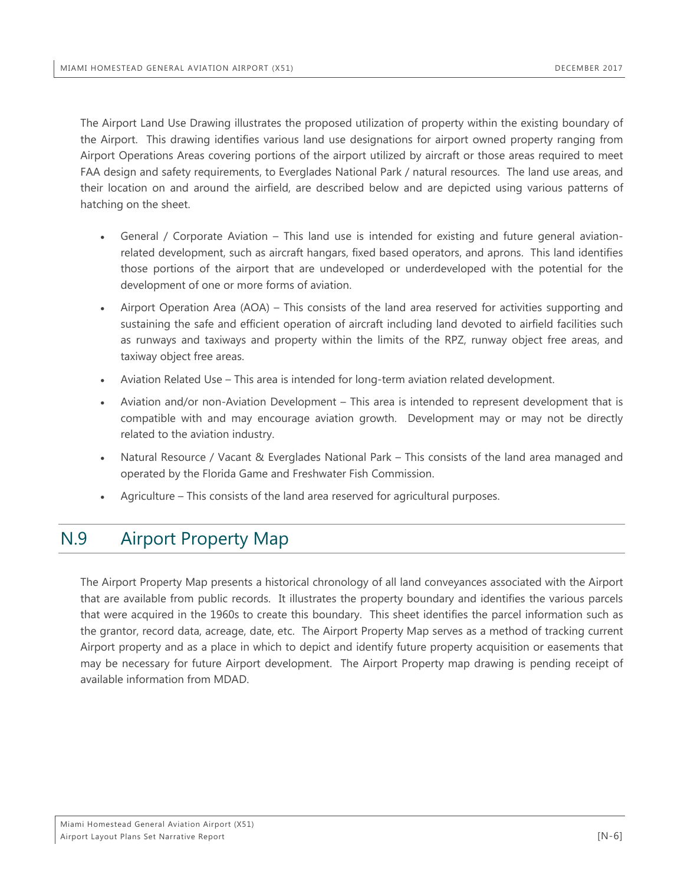The Airport Land Use Drawing illustrates the proposed utilization of property within the existing boundary of the Airport. This drawing identifies various land use designations for airport owned property ranging from Airport Operations Areas covering portions of the airport utilized by aircraft or those areas required to meet FAA design and safety requirements, to Everglades National Park / natural resources. The land use areas, and their location on and around the airfield, are described below and are depicted using various patterns of hatching on the sheet.

- General / Corporate Aviation This land use is intended for existing and future general aviationrelated development, such as aircraft hangars, fixed based operators, and aprons. This land identifies those portions of the airport that are undeveloped or underdeveloped with the potential for the development of one or more forms of aviation.
- Airport Operation Area (AOA) This consists of the land area reserved for activities supporting and sustaining the safe and efficient operation of aircraft including land devoted to airfield facilities such as runways and taxiways and property within the limits of the RPZ, runway object free areas, and taxiway object free areas.
- Aviation Related Use This area is intended for long-term aviation related development.
- Aviation and/or non-Aviation Development This area is intended to represent development that is compatible with and may encourage aviation growth. Development may or may not be directly related to the aviation industry.
- Natural Resource / Vacant & Everglades National Park This consists of the land area managed and operated by the Florida Game and Freshwater Fish Commission.
- Agriculture This consists of the land area reserved for agricultural purposes.

## <span id="page-53-0"></span>N.9 Airport Property Map

The Airport Property Map presents a historical chronology of all land conveyances associated with the Airport that are available from public records. It illustrates the property boundary and identifies the various parcels that were acquired in the 1960s to create this boundary. This sheet identifies the parcel information such as the grantor, record data, acreage, date, etc. The Airport Property Map serves as a method of tracking current Airport property and as a place in which to depict and identify future property acquisition or easements that may be necessary for future Airport development. The Airport Property map drawing is pending receipt of available information from MDAD.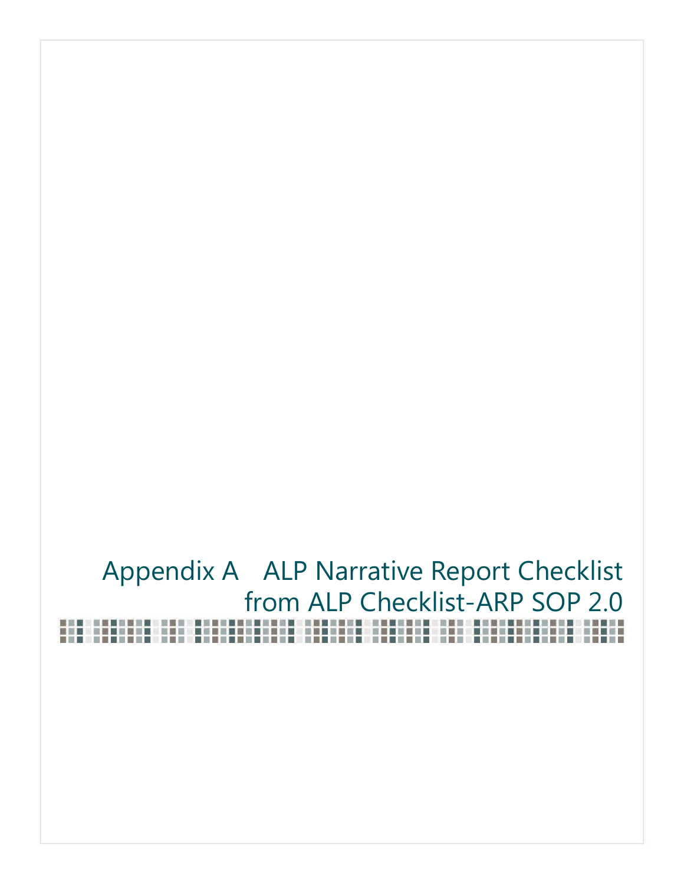# <span id="page-54-0"></span>Appendix A ALP Narrative Report Checklist from ALP Checklist-ARP SOP 2.0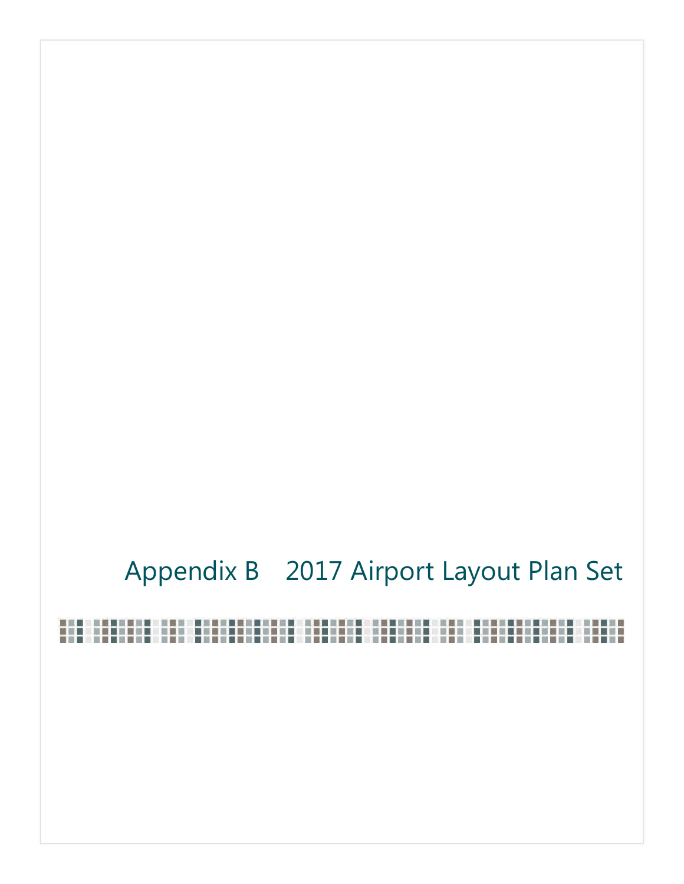## <span id="page-55-0"></span>Appendix B 2017 Airport Layout Plan Set